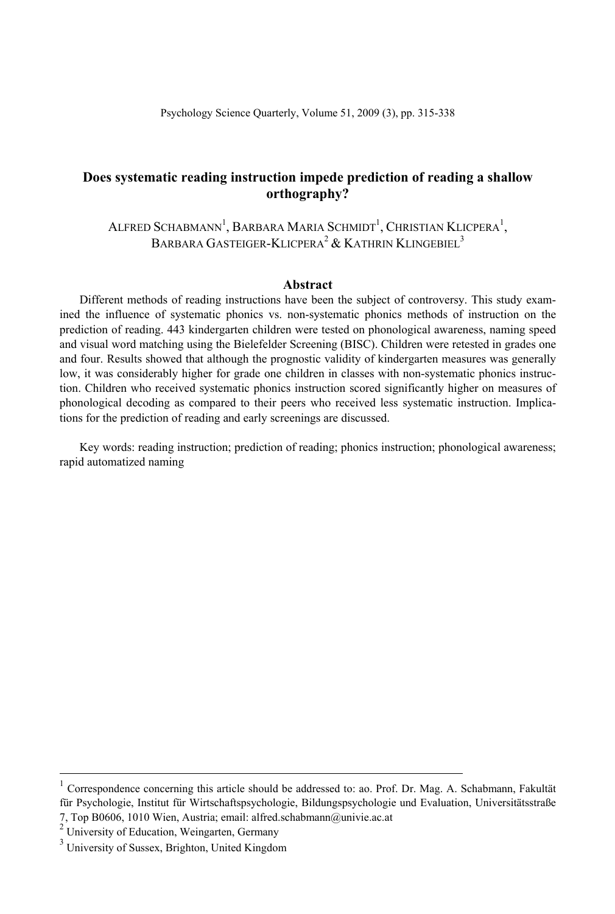ALFRED SCHABMANN<sup>1</sup>, BARBARA MARIA SCHMIDT<sup>1</sup>, CHRISTIAN KLICPERA<sup>1</sup>, BARBARA GASTEIGER-KLICPERA<sup>2</sup> & KATHRIN KLINGEBIEL<sup>3</sup>

#### **Abstract**

Different methods of reading instructions have been the subject of controversy. This study examined the influence of systematic phonics vs. non-systematic phonics methods of instruction on the prediction of reading. 443 kindergarten children were tested on phonological awareness, naming speed and visual word matching using the Bielefelder Screening (BISC). Children were retested in grades one and four. Results showed that although the prognostic validity of kindergarten measures was generally low, it was considerably higher for grade one children in classes with non-systematic phonics instruction. Children who received systematic phonics instruction scored significantly higher on measures of phonological decoding as compared to their peers who received less systematic instruction. Implications for the prediction of reading and early screenings are discussed.

Key words: reading instruction; prediction of reading; phonics instruction; phonological awareness; rapid automatized naming

 $\frac{1}{1}$  Correspondence concerning this article should be addressed to: ao. Prof. Dr. Mag. A. Schabmann, Fakultät für Psychologie, Institut für Wirtschaftspsychologie, Bildungspsychologie und Evaluation, Universitätsstraße 7, Top B0606, 1010 Wien, Austria; email: alfred.schabmann@univie.ac.at 2

 $2$  University of Education, Weingarten, Germany

<sup>&</sup>lt;sup>3</sup> University of Sussex, Brighton, United Kingdom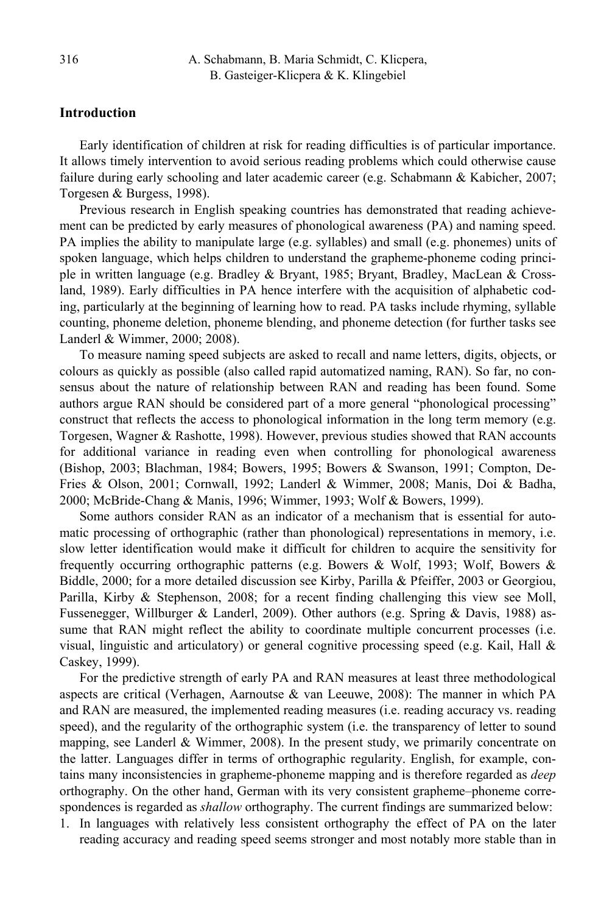## **Introduction**

Early identification of children at risk for reading difficulties is of particular importance. It allows timely intervention to avoid serious reading problems which could otherwise cause failure during early schooling and later academic career (e.g. Schabmann & Kabicher, 2007; Torgesen & Burgess, 1998).

Previous research in English speaking countries has demonstrated that reading achievement can be predicted by early measures of phonological awareness (PA) and naming speed. PA implies the ability to manipulate large (e.g. syllables) and small (e.g. phonemes) units of spoken language, which helps children to understand the grapheme-phoneme coding principle in written language (e.g. Bradley & Bryant, 1985; Bryant, Bradley, MacLean & Crossland, 1989). Early difficulties in PA hence interfere with the acquisition of alphabetic coding, particularly at the beginning of learning how to read. PA tasks include rhyming, syllable counting, phoneme deletion, phoneme blending, and phoneme detection (for further tasks see Landerl & Wimmer, 2000; 2008).

To measure naming speed subjects are asked to recall and name letters, digits, objects, or colours as quickly as possible (also called rapid automatized naming, RAN). So far, no consensus about the nature of relationship between RAN and reading has been found. Some authors argue RAN should be considered part of a more general "phonological processing" construct that reflects the access to phonological information in the long term memory (e.g. Torgesen, Wagner & Rashotte, 1998). However, previous studies showed that RAN accounts for additional variance in reading even when controlling for phonological awareness (Bishop, 2003; Blachman, 1984; Bowers, 1995; Bowers & Swanson, 1991; Compton, De-Fries & Olson, 2001; Cornwall, 1992; Landerl & Wimmer, 2008; Manis, Doi & Badha, 2000; McBride-Chang & Manis, 1996; Wimmer, 1993; Wolf & Bowers, 1999).

Some authors consider RAN as an indicator of a mechanism that is essential for automatic processing of orthographic (rather than phonological) representations in memory, i.e. slow letter identification would make it difficult for children to acquire the sensitivity for frequently occurring orthographic patterns (e.g. Bowers & Wolf, 1993; Wolf, Bowers & Biddle, 2000; for a more detailed discussion see Kirby, Parilla & Pfeiffer, 2003 or Georgiou, Parilla, Kirby & Stephenson, 2008; for a recent finding challenging this view see Moll, Fussenegger, Willburger & Landerl, 2009). Other authors (e.g. Spring & Davis, 1988) assume that RAN might reflect the ability to coordinate multiple concurrent processes (i.e. visual, linguistic and articulatory) or general cognitive processing speed (e.g. Kail, Hall  $\&$ Caskey, 1999).

For the predictive strength of early PA and RAN measures at least three methodological aspects are critical (Verhagen, Aarnoutse & van Leeuwe, 2008): The manner in which PA and RAN are measured, the implemented reading measures (i.e. reading accuracy vs. reading speed), and the regularity of the orthographic system (i.e. the transparency of letter to sound mapping, see Landerl & Wimmer, 2008). In the present study, we primarily concentrate on the latter. Languages differ in terms of orthographic regularity. English, for example, contains many inconsistencies in grapheme-phoneme mapping and is therefore regarded as *deep* orthography. On the other hand, German with its very consistent grapheme–phoneme correspondences is regarded as *shallow* orthography. The current findings are summarized below:

1. In languages with relatively less consistent orthography the effect of PA on the later reading accuracy and reading speed seems stronger and most notably more stable than in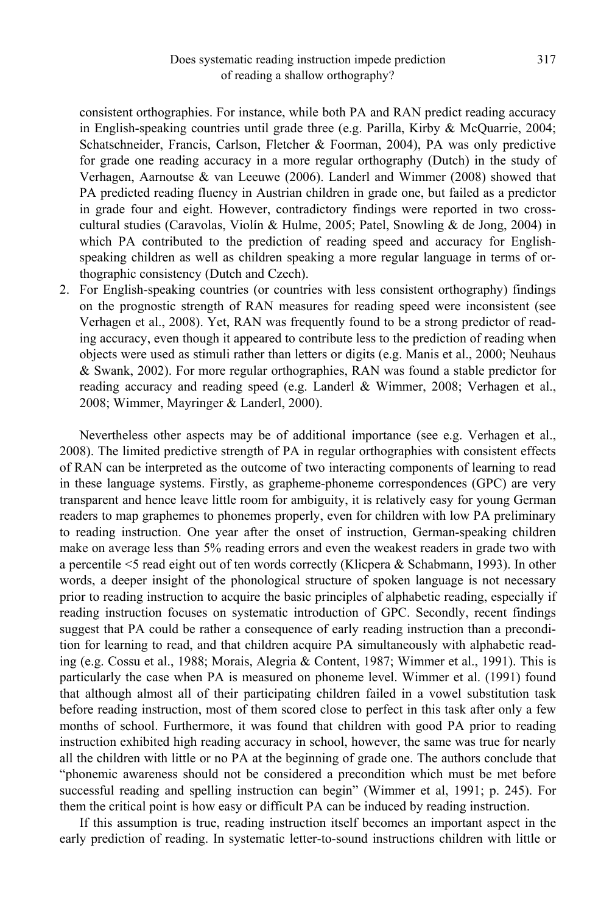consistent orthographies. For instance, while both PA and RAN predict reading accuracy in English-speaking countries until grade three (e.g. Parilla, Kirby & McQuarrie, 2004; Schatschneider, Francis, Carlson, Fletcher & Foorman, 2004), PA was only predictive for grade one reading accuracy in a more regular orthography (Dutch) in the study of Verhagen, Aarnoutse & van Leeuwe (2006). Landerl and Wimmer (2008) showed that PA predicted reading fluency in Austrian children in grade one, but failed as a predictor in grade four and eight. However, contradictory findings were reported in two crosscultural studies (Caravolas, Violín & Hulme, 2005; Patel, Snowling & de Jong, 2004) in which PA contributed to the prediction of reading speed and accuracy for Englishspeaking children as well as children speaking a more regular language in terms of orthographic consistency (Dutch and Czech).

2. For English-speaking countries (or countries with less consistent orthography) findings on the prognostic strength of RAN measures for reading speed were inconsistent (see Verhagen et al., 2008). Yet, RAN was frequently found to be a strong predictor of reading accuracy, even though it appeared to contribute less to the prediction of reading when objects were used as stimuli rather than letters or digits (e.g. Manis et al., 2000; Neuhaus & Swank, 2002). For more regular orthographies, RAN was found a stable predictor for reading accuracy and reading speed (e.g. Landerl & Wimmer, 2008; Verhagen et al., 2008; Wimmer, Mayringer & Landerl, 2000).

Nevertheless other aspects may be of additional importance (see e.g. Verhagen et al., 2008). The limited predictive strength of PA in regular orthographies with consistent effects of RAN can be interpreted as the outcome of two interacting components of learning to read in these language systems. Firstly, as grapheme-phoneme correspondences (GPC) are very transparent and hence leave little room for ambiguity, it is relatively easy for young German readers to map graphemes to phonemes properly, even for children with low PA preliminary to reading instruction. One year after the onset of instruction, German-speaking children make on average less than 5% reading errors and even the weakest readers in grade two with a percentile <5 read eight out of ten words correctly (Klicpera & Schabmann, 1993). In other words, a deeper insight of the phonological structure of spoken language is not necessary prior to reading instruction to acquire the basic principles of alphabetic reading, especially if reading instruction focuses on systematic introduction of GPC. Secondly, recent findings suggest that PA could be rather a consequence of early reading instruction than a precondition for learning to read, and that children acquire PA simultaneously with alphabetic reading (e.g. Cossu et al., 1988; Morais, Alegria & Content, 1987; Wimmer et al., 1991). This is particularly the case when PA is measured on phoneme level. Wimmer et al. (1991) found that although almost all of their participating children failed in a vowel substitution task before reading instruction, most of them scored close to perfect in this task after only a few months of school. Furthermore, it was found that children with good PA prior to reading instruction exhibited high reading accuracy in school, however, the same was true for nearly all the children with little or no PA at the beginning of grade one. The authors conclude that "phonemic awareness should not be considered a precondition which must be met before successful reading and spelling instruction can begin" (Wimmer et al, 1991; p. 245). For them the critical point is how easy or difficult PA can be induced by reading instruction.

If this assumption is true, reading instruction itself becomes an important aspect in the early prediction of reading. In systematic letter-to-sound instructions children with little or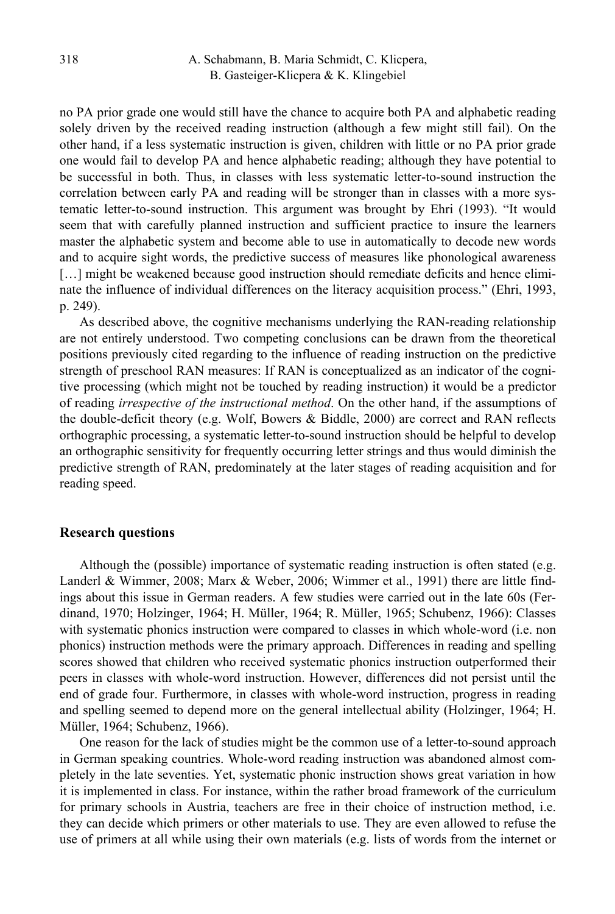no PA prior grade one would still have the chance to acquire both PA and alphabetic reading solely driven by the received reading instruction (although a few might still fail). On the other hand, if a less systematic instruction is given, children with little or no PA prior grade one would fail to develop PA and hence alphabetic reading; although they have potential to be successful in both. Thus, in classes with less systematic letter-to-sound instruction the correlation between early PA and reading will be stronger than in classes with a more systematic letter-to-sound instruction. This argument was brought by Ehri (1993). "It would seem that with carefully planned instruction and sufficient practice to insure the learners master the alphabetic system and become able to use in automatically to decode new words and to acquire sight words, the predictive success of measures like phonological awareness [...] might be weakened because good instruction should remediate deficits and hence eliminate the influence of individual differences on the literacy acquisition process." (Ehri, 1993, p. 249).

As described above, the cognitive mechanisms underlying the RAN-reading relationship are not entirely understood. Two competing conclusions can be drawn from the theoretical positions previously cited regarding to the influence of reading instruction on the predictive strength of preschool RAN measures: If RAN is conceptualized as an indicator of the cognitive processing (which might not be touched by reading instruction) it would be a predictor of reading *irrespective of the instructional method*. On the other hand, if the assumptions of the double-deficit theory (e.g. Wolf, Bowers & Biddle, 2000) are correct and RAN reflects orthographic processing, a systematic letter-to-sound instruction should be helpful to develop an orthographic sensitivity for frequently occurring letter strings and thus would diminish the predictive strength of RAN, predominately at the later stages of reading acquisition and for reading speed.

#### **Research questions**

Although the (possible) importance of systematic reading instruction is often stated (e.g. Landerl & Wimmer, 2008; Marx & Weber, 2006; Wimmer et al., 1991) there are little findings about this issue in German readers. A few studies were carried out in the late 60s (Ferdinand, 1970; Holzinger, 1964; H. Müller, 1964; R. Müller, 1965; Schubenz, 1966): Classes with systematic phonics instruction were compared to classes in which whole-word (i.e. non phonics) instruction methods were the primary approach. Differences in reading and spelling scores showed that children who received systematic phonics instruction outperformed their peers in classes with whole-word instruction. However, differences did not persist until the end of grade four. Furthermore, in classes with whole-word instruction, progress in reading and spelling seemed to depend more on the general intellectual ability (Holzinger, 1964; H. Müller, 1964; Schubenz, 1966).

One reason for the lack of studies might be the common use of a letter-to-sound approach in German speaking countries. Whole-word reading instruction was abandoned almost completely in the late seventies. Yet, systematic phonic instruction shows great variation in how it is implemented in class. For instance, within the rather broad framework of the curriculum for primary schools in Austria, teachers are free in their choice of instruction method, i.e. they can decide which primers or other materials to use. They are even allowed to refuse the use of primers at all while using their own materials (e.g. lists of words from the internet or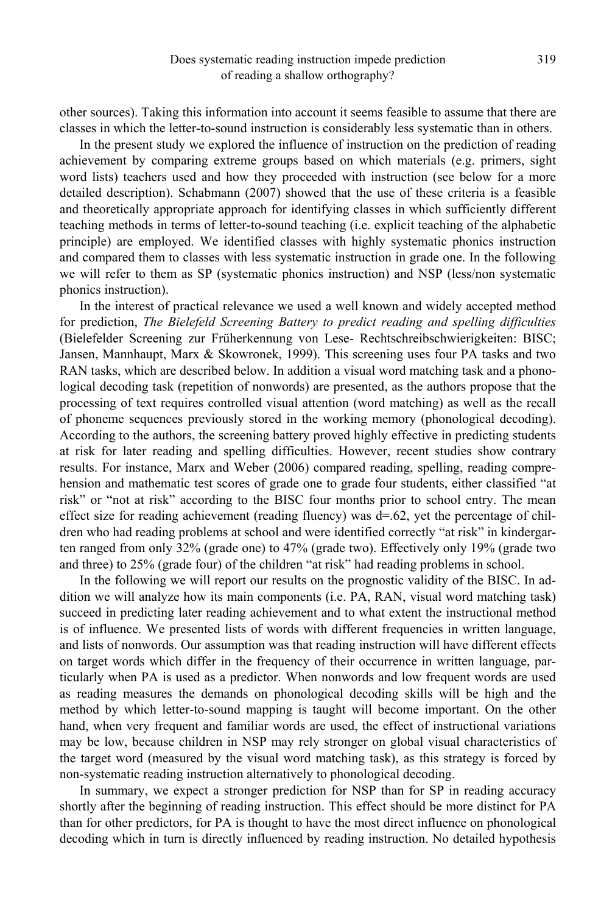other sources). Taking this information into account it seems feasible to assume that there are classes in which the letter-to-sound instruction is considerably less systematic than in others.

In the present study we explored the influence of instruction on the prediction of reading achievement by comparing extreme groups based on which materials (e.g. primers, sight word lists) teachers used and how they proceeded with instruction (see below for a more detailed description). Schabmann (2007) showed that the use of these criteria is a feasible and theoretically appropriate approach for identifying classes in which sufficiently different teaching methods in terms of letter-to-sound teaching (i.e. explicit teaching of the alphabetic principle) are employed. We identified classes with highly systematic phonics instruction and compared them to classes with less systematic instruction in grade one. In the following we will refer to them as SP (systematic phonics instruction) and NSP (less/non systematic phonics instruction).

In the interest of practical relevance we used a well known and widely accepted method for prediction, *The Bielefeld Screening Battery to predict reading and spelling difficulties*  (Bielefelder Screening zur Früherkennung von Lese- Rechtschreibschwierigkeiten: BISC; Jansen, Mannhaupt, Marx & Skowronek, 1999). This screening uses four PA tasks and two RAN tasks, which are described below. In addition a visual word matching task and a phonological decoding task (repetition of nonwords) are presented, as the authors propose that the processing of text requires controlled visual attention (word matching) as well as the recall of phoneme sequences previously stored in the working memory (phonological decoding). According to the authors, the screening battery proved highly effective in predicting students at risk for later reading and spelling difficulties. However, recent studies show contrary results. For instance, Marx and Weber (2006) compared reading, spelling, reading comprehension and mathematic test scores of grade one to grade four students, either classified "at risk" or "not at risk" according to the BISC four months prior to school entry. The mean effect size for reading achievement (reading fluency) was d=.62, yet the percentage of children who had reading problems at school and were identified correctly "at risk" in kindergarten ranged from only 32% (grade one) to 47% (grade two). Effectively only 19% (grade two and three) to 25% (grade four) of the children "at risk" had reading problems in school.

In the following we will report our results on the prognostic validity of the BISC. In addition we will analyze how its main components (i.e. PA, RAN, visual word matching task) succeed in predicting later reading achievement and to what extent the instructional method is of influence. We presented lists of words with different frequencies in written language, and lists of nonwords. Our assumption was that reading instruction will have different effects on target words which differ in the frequency of their occurrence in written language, particularly when PA is used as a predictor. When nonwords and low frequent words are used as reading measures the demands on phonological decoding skills will be high and the method by which letter-to-sound mapping is taught will become important. On the other hand, when very frequent and familiar words are used, the effect of instructional variations may be low, because children in NSP may rely stronger on global visual characteristics of the target word (measured by the visual word matching task), as this strategy is forced by non-systematic reading instruction alternatively to phonological decoding.

In summary, we expect a stronger prediction for NSP than for SP in reading accuracy shortly after the beginning of reading instruction. This effect should be more distinct for PA than for other predictors, for PA is thought to have the most direct influence on phonological decoding which in turn is directly influenced by reading instruction. No detailed hypothesis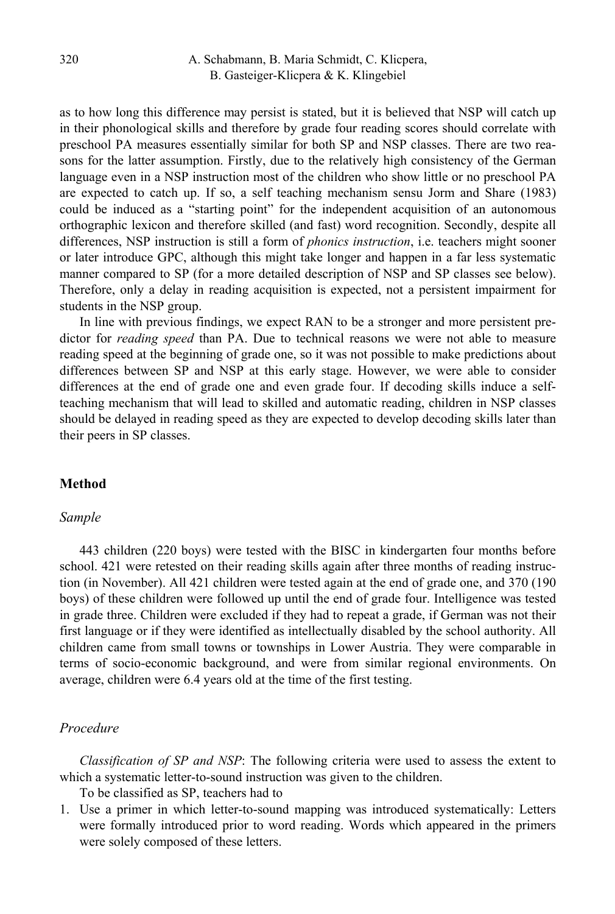as to how long this difference may persist is stated, but it is believed that NSP will catch up in their phonological skills and therefore by grade four reading scores should correlate with preschool PA measures essentially similar for both SP and NSP classes. There are two reasons for the latter assumption. Firstly, due to the relatively high consistency of the German language even in a NSP instruction most of the children who show little or no preschool PA are expected to catch up. If so, a self teaching mechanism sensu Jorm and Share (1983) could be induced as a "starting point" for the independent acquisition of an autonomous orthographic lexicon and therefore skilled (and fast) word recognition. Secondly, despite all differences, NSP instruction is still a form of *phonics instruction*, i.e. teachers might sooner or later introduce GPC, although this might take longer and happen in a far less systematic manner compared to SP (for a more detailed description of NSP and SP classes see below). Therefore, only a delay in reading acquisition is expected, not a persistent impairment for students in the NSP group.

In line with previous findings, we expect RAN to be a stronger and more persistent predictor for *reading speed* than PA. Due to technical reasons we were not able to measure reading speed at the beginning of grade one, so it was not possible to make predictions about differences between SP and NSP at this early stage. However, we were able to consider differences at the end of grade one and even grade four. If decoding skills induce a selfteaching mechanism that will lead to skilled and automatic reading, children in NSP classes should be delayed in reading speed as they are expected to develop decoding skills later than their peers in SP classes.

#### **Method**

## *Sample*

443 children (220 boys) were tested with the BISC in kindergarten four months before school. 421 were retested on their reading skills again after three months of reading instruction (in November). All 421 children were tested again at the end of grade one, and 370 (190 boys) of these children were followed up until the end of grade four. Intelligence was tested in grade three. Children were excluded if they had to repeat a grade, if German was not their first language or if they were identified as intellectually disabled by the school authority. All children came from small towns or townships in Lower Austria. They were comparable in terms of socio-economic background, and were from similar regional environments. On average, children were 6.4 years old at the time of the first testing.

#### *Procedure*

*Classification of SP and NSP*: The following criteria were used to assess the extent to which a systematic letter-to-sound instruction was given to the children.

To be classified as SP, teachers had to

1. Use a primer in which letter-to-sound mapping was introduced systematically: Letters were formally introduced prior to word reading. Words which appeared in the primers were solely composed of these letters.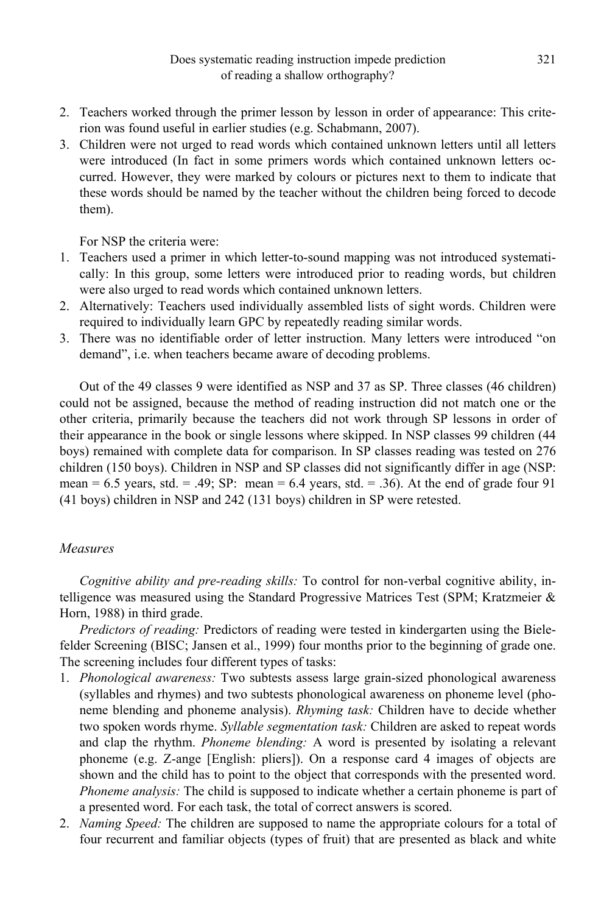- 2. Teachers worked through the primer lesson by lesson in order of appearance: This criterion was found useful in earlier studies (e.g. Schabmann, 2007).
- 3. Children were not urged to read words which contained unknown letters until all letters were introduced (In fact in some primers words which contained unknown letters occurred. However, they were marked by colours or pictures next to them to indicate that these words should be named by the teacher without the children being forced to decode them).

For NSP the criteria were:

- 1. Teachers used a primer in which letter-to-sound mapping was not introduced systematically: In this group, some letters were introduced prior to reading words, but children were also urged to read words which contained unknown letters.
- 2. Alternatively: Teachers used individually assembled lists of sight words. Children were required to individually learn GPC by repeatedly reading similar words.
- 3. There was no identifiable order of letter instruction. Many letters were introduced "on demand", i.e. when teachers became aware of decoding problems.

Out of the 49 classes 9 were identified as NSP and 37 as SP. Three classes (46 children) could not be assigned, because the method of reading instruction did not match one or the other criteria, primarily because the teachers did not work through SP lessons in order of their appearance in the book or single lessons where skipped. In NSP classes 99 children (44 boys) remained with complete data for comparison. In SP classes reading was tested on 276 children (150 boys). Children in NSP and SP classes did not significantly differ in age (NSP: mean =  $6.5$  years, std. = .49; SP: mean =  $6.4$  years, std. = .36). At the end of grade four 91 (41 boys) children in NSP and 242 (131 boys) children in SP were retested.

## *Measures*

*Cognitive ability and pre-reading skills:* To control for non-verbal cognitive ability, intelligence was measured using the Standard Progressive Matrices Test (SPM; Kratzmeier & Horn, 1988) in third grade.

*Predictors of reading:* Predictors of reading were tested in kindergarten using the Bielefelder Screening (BISC; Jansen et al., 1999) four months prior to the beginning of grade one. The screening includes four different types of tasks:

- 1. *Phonological awareness:* Two subtests assess large grain-sized phonological awareness (syllables and rhymes) and two subtests phonological awareness on phoneme level (phoneme blending and phoneme analysis). *Rhyming task:* Children have to decide whether two spoken words rhyme. *Syllable segmentation task:* Children are asked to repeat words and clap the rhythm. *Phoneme blending:* A word is presented by isolating a relevant phoneme (e.g. Z-ange [English: pliers]). On a response card 4 images of objects are shown and the child has to point to the object that corresponds with the presented word. *Phoneme analysis:* The child is supposed to indicate whether a certain phoneme is part of a presented word. For each task, the total of correct answers is scored.
- 2. *Naming Speed:* The children are supposed to name the appropriate colours for a total of four recurrent and familiar objects (types of fruit) that are presented as black and white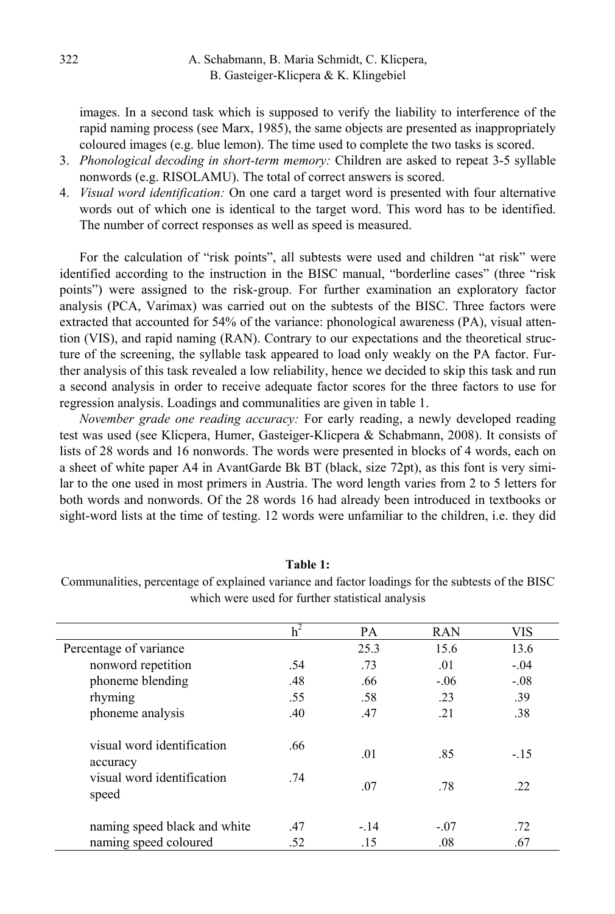images. In a second task which is supposed to verify the liability to interference of the rapid naming process (see Marx, 1985), the same objects are presented as inappropriately coloured images (e.g. blue lemon). The time used to complete the two tasks is scored.

- 3. *Phonological decoding in short-term memory:* Children are asked to repeat 3-5 syllable nonwords (e.g. RISOLAMU). The total of correct answers is scored.
- 4. *Visual word identification:* On one card a target word is presented with four alternative words out of which one is identical to the target word. This word has to be identified. The number of correct responses as well as speed is measured.

For the calculation of "risk points", all subtests were used and children "at risk" were identified according to the instruction in the BISC manual, "borderline cases" (three "risk points") were assigned to the risk-group. For further examination an exploratory factor analysis (PCA, Varimax) was carried out on the subtests of the BISC. Three factors were extracted that accounted for 54% of the variance: phonological awareness (PA), visual attention (VIS), and rapid naming (RAN). Contrary to our expectations and the theoretical structure of the screening, the syllable task appeared to load only weakly on the PA factor. Further analysis of this task revealed a low reliability, hence we decided to skip this task and run a second analysis in order to receive adequate factor scores for the three factors to use for regression analysis. Loadings and communalities are given in table 1.

*November grade one reading accuracy:* For early reading, a newly developed reading test was used (see Klicpera, Humer, Gasteiger-Klicpera & Schabmann, 2008). It consists of lists of 28 words and 16 nonwords. The words were presented in blocks of 4 words, each on a sheet of white paper A4 in AvantGarde Bk BT (black, size 72pt), as this font is very similar to the one used in most primers in Austria. The word length varies from 2 to 5 letters for both words and nonwords. Of the 28 words 16 had already been introduced in textbooks or sight-word lists at the time of testing. 12 words were unfamiliar to the children, i.e. they did

## **Table 1:**

Communalities, percentage of explained variance and factor loadings for the subtests of the BISC which were used for further statistical analysis

|                                        | h <sup>2</sup> | PA    | <b>RAN</b> | VIS    |
|----------------------------------------|----------------|-------|------------|--------|
| Percentage of variance                 |                | 25.3  | 15.6       | 13.6   |
| nonword repetition                     | .54            | .73   | .01        | $-.04$ |
| phoneme blending                       | .48            | .66   | $-.06$     | $-.08$ |
| rhyming                                | .55            | .58   | .23        | .39    |
| phoneme analysis                       | .40            | .47   | .21        | .38    |
| visual word identification<br>accuracy | .66            | .01   | .85        | $-.15$ |
| visual word identification<br>speed    | .74            | .07   | .78        | .22    |
| naming speed black and white           | .47            | $-14$ | $-.07$     | .72    |
| naming speed coloured                  | .52            | .15   | .08        | .67    |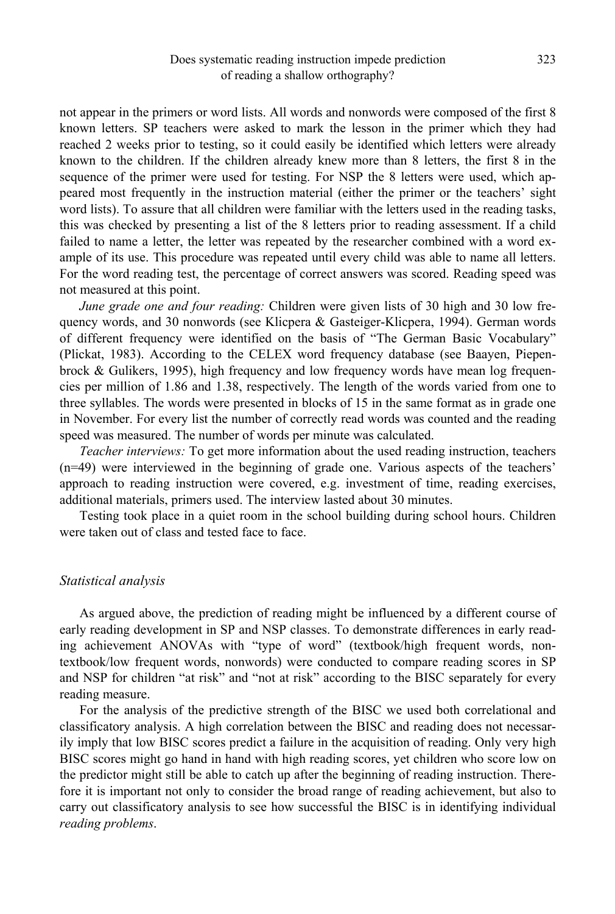not appear in the primers or word lists. All words and nonwords were composed of the first 8 known letters. SP teachers were asked to mark the lesson in the primer which they had reached 2 weeks prior to testing, so it could easily be identified which letters were already known to the children. If the children already knew more than 8 letters, the first 8 in the sequence of the primer were used for testing. For NSP the 8 letters were used, which appeared most frequently in the instruction material (either the primer or the teachers' sight word lists). To assure that all children were familiar with the letters used in the reading tasks, this was checked by presenting a list of the 8 letters prior to reading assessment. If a child failed to name a letter, the letter was repeated by the researcher combined with a word example of its use. This procedure was repeated until every child was able to name all letters. For the word reading test, the percentage of correct answers was scored. Reading speed was not measured at this point.

*June grade one and four reading:* Children were given lists of 30 high and 30 low frequency words, and 30 nonwords (see Klicpera & Gasteiger-Klicpera, 1994). German words of different frequency were identified on the basis of "The German Basic Vocabulary" (Plickat, 1983). According to the CELEX word frequency database (see Baayen, Piepenbrock & Gulikers, 1995), high frequency and low frequency words have mean log frequencies per million of 1.86 and 1.38, respectively. The length of the words varied from one to three syllables. The words were presented in blocks of 15 in the same format as in grade one in November. For every list the number of correctly read words was counted and the reading speed was measured. The number of words per minute was calculated.

*Teacher interviews:* To get more information about the used reading instruction, teachers (n=49) were interviewed in the beginning of grade one. Various aspects of the teachers' approach to reading instruction were covered, e.g. investment of time, reading exercises, additional materials, primers used. The interview lasted about 30 minutes.

Testing took place in a quiet room in the school building during school hours. Children were taken out of class and tested face to face.

#### *Statistical analysis*

As argued above, the prediction of reading might be influenced by a different course of early reading development in SP and NSP classes. To demonstrate differences in early reading achievement ANOVAs with "type of word" (textbook/high frequent words, nontextbook/low frequent words, nonwords) were conducted to compare reading scores in SP and NSP for children "at risk" and "not at risk" according to the BISC separately for every reading measure.

For the analysis of the predictive strength of the BISC we used both correlational and classificatory analysis. A high correlation between the BISC and reading does not necessarily imply that low BISC scores predict a failure in the acquisition of reading. Only very high BISC scores might go hand in hand with high reading scores, yet children who score low on the predictor might still be able to catch up after the beginning of reading instruction. Therefore it is important not only to consider the broad range of reading achievement, but also to carry out classificatory analysis to see how successful the BISC is in identifying individual *reading problems*.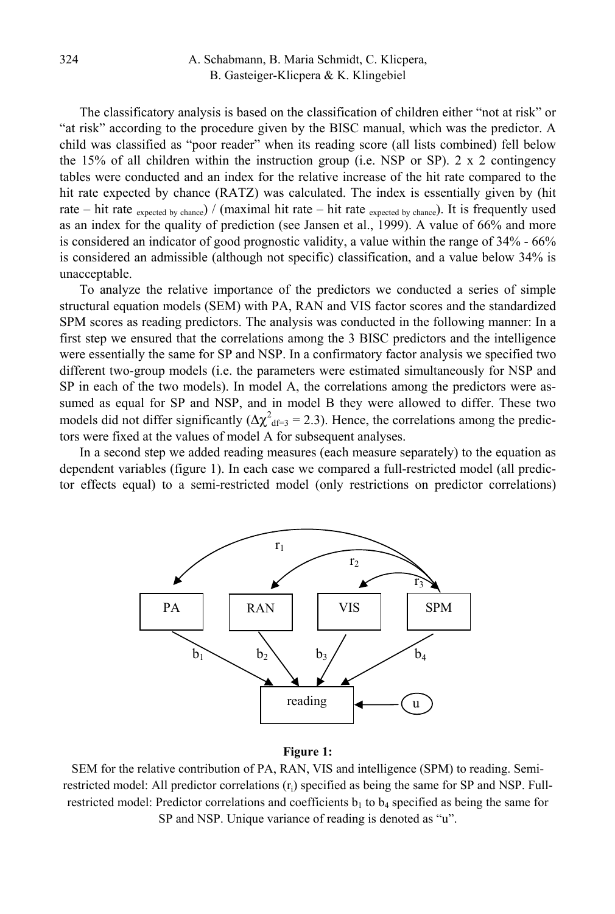The classificatory analysis is based on the classification of children either "not at risk" or "at risk" according to the procedure given by the BISC manual, which was the predictor. A child was classified as "poor reader" when its reading score (all lists combined) fell below the 15% of all children within the instruction group (i.e. NSP or SP). 2 x 2 contingency tables were conducted and an index for the relative increase of the hit rate compared to the hit rate expected by chance (RATZ) was calculated. The index is essentially given by (hit rate – hit rate  $_{\text{expected by chance}}$ ) / (maximal hit rate – hit rate  $_{\text{expected by chance}}$ ). It is frequently used as an index for the quality of prediction (see Jansen et al., 1999). A value of 66% and more is considered an indicator of good prognostic validity, a value within the range of 34% - 66% is considered an admissible (although not specific) classification, and a value below 34% is unacceptable.

To analyze the relative importance of the predictors we conducted a series of simple structural equation models (SEM) with PA, RAN and VIS factor scores and the standardized SPM scores as reading predictors. The analysis was conducted in the following manner: In a first step we ensured that the correlations among the 3 BISC predictors and the intelligence were essentially the same for SP and NSP. In a confirmatory factor analysis we specified two different two-group models (i.e. the parameters were estimated simultaneously for NSP and SP in each of the two models). In model A, the correlations among the predictors were assumed as equal for SP and NSP, and in model B they were allowed to differ. These two models did not differ significantly ( $\Delta \chi^2_{\text{df=3}} = 2.3$ ). Hence, the correlations among the predictors were fixed at the values of model A for subsequent analyses.

In a second step we added reading measures (each measure separately) to the equation as dependent variables (figure 1). In each case we compared a full-restricted model (all predictor effects equal) to a semi-restricted model (only restrictions on predictor correlations)



#### **Figure 1:**

SEM for the relative contribution of PA, RAN, VIS and intelligence (SPM) to reading. Semirestricted model: All predictor correlations  $(r<sub>i</sub>)$  specified as being the same for SP and NSP. Fullrestricted model: Predictor correlations and coefficients  $b<sub>1</sub>$  to  $b<sub>4</sub>$  specified as being the same for SP and NSP. Unique variance of reading is denoted as "u".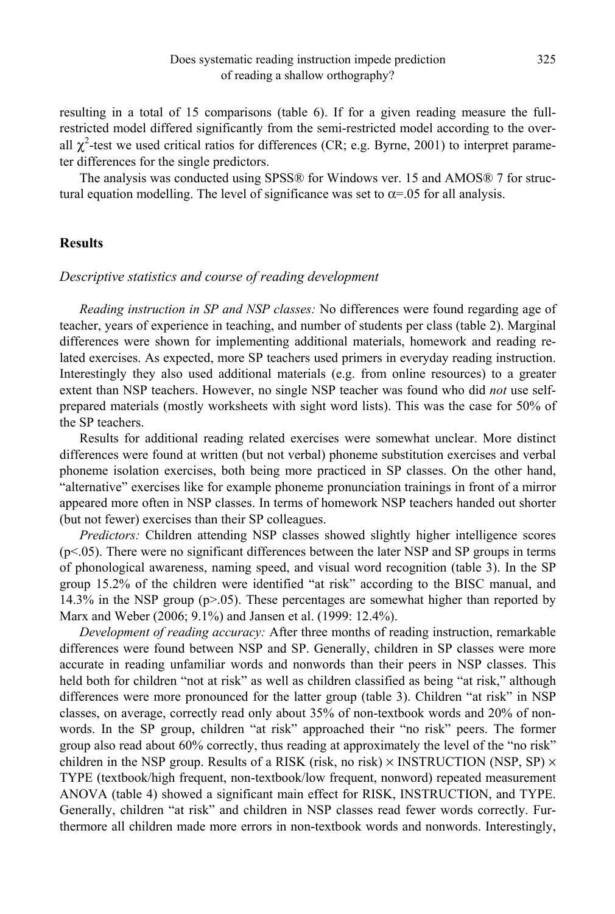resulting in a total of 15 comparisons (table 6). If for a given reading measure the fullrestricted model differed significantly from the semi-restricted model according to the overall  $\chi^2$ -test we used critical ratios for differences (CR; e.g. Byrne, 2001) to interpret parameter differences for the single predictors.

The analysis was conducted using SPSS® for Windows ver. 15 and AMOS® 7 for structural equation modelling. The level of significance was set to  $\alpha = 0.05$  for all analysis.

## **Results**

### *Descriptive statistics and course of reading development*

*Reading instruction in SP and NSP classes:* No differences were found regarding age of teacher, years of experience in teaching, and number of students per class (table 2). Marginal differences were shown for implementing additional materials, homework and reading related exercises. As expected, more SP teachers used primers in everyday reading instruction. Interestingly they also used additional materials (e.g. from online resources) to a greater extent than NSP teachers. However, no single NSP teacher was found who did *not* use selfprepared materials (mostly worksheets with sight word lists). This was the case for 50% of the SP teachers.

Results for additional reading related exercises were somewhat unclear. More distinct differences were found at written (but not verbal) phoneme substitution exercises and verbal phoneme isolation exercises, both being more practiced in SP classes. On the other hand, "alternative" exercises like for example phoneme pronunciation trainings in front of a mirror appeared more often in NSP classes. In terms of homework NSP teachers handed out shorter (but not fewer) exercises than their SP colleagues.

*Predictors:* Children attending NSP classes showed slightly higher intelligence scores  $(p<0.05)$ . There were no significant differences between the later NSP and SP groups in terms of phonological awareness, naming speed, and visual word recognition (table 3). In the SP group 15.2% of the children were identified "at risk" according to the BISC manual, and 14.3% in the NSP group (p>.05). These percentages are somewhat higher than reported by Marx and Weber (2006; 9.1%) and Jansen et al. (1999: 12.4%).

*Development of reading accuracy:* After three months of reading instruction, remarkable differences were found between NSP and SP. Generally, children in SP classes were more accurate in reading unfamiliar words and nonwords than their peers in NSP classes. This held both for children "not at risk" as well as children classified as being "at risk," although differences were more pronounced for the latter group (table 3). Children "at risk" in NSP classes, on average, correctly read only about 35% of non-textbook words and 20% of nonwords. In the SP group, children "at risk" approached their "no risk" peers. The former group also read about 60% correctly, thus reading at approximately the level of the "no risk" children in the NSP group. Results of a RISK (risk, no risk)  $\times$  INSTRUCTION (NSP, SP)  $\times$ TYPE (textbook/high frequent, non-textbook/low frequent, nonword) repeated measurement ANOVA (table 4) showed a significant main effect for RISK, INSTRUCTION, and TYPE. Generally, children "at risk" and children in NSP classes read fewer words correctly. Furthermore all children made more errors in non-textbook words and nonwords. Interestingly,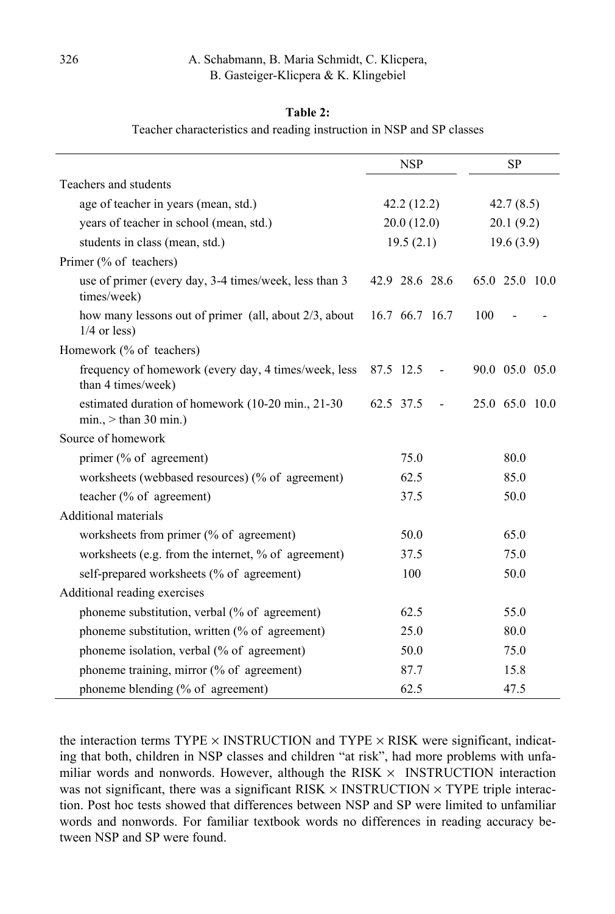### **Table 2:**

Teacher characteristics and reading instruction in NSP and SP classes

|                                                                              | <b>NSP</b>     | <b>SP</b>      |
|------------------------------------------------------------------------------|----------------|----------------|
| Teachers and students                                                        |                |                |
| age of teacher in years (mean, std.)                                         | 42.2(12.2)     | 42.7(8.5)      |
| years of teacher in school (mean, std.)                                      | 20.0(12.0)     | 20.1(9.2)      |
| students in class (mean, std.)                                               | 19.5(2.1)      | 19.6(3.9)      |
| Primer (% of teachers)                                                       |                |                |
| use of primer (every day, 3-4 times/week, less than 3<br>times/week)         | 42.9 28.6 28.6 | 65.0 25.0 10.0 |
| how many lessons out of primer (all, about 2/3, about<br>$1/4$ or less)      | 16.7 66.7 16.7 | 100            |
| Homework (% of teachers)                                                     |                |                |
| frequency of homework (every day, 4 times/week, less<br>than 4 times/week)   | 87.5 12.5      | 90.0 05.0 05.0 |
| estimated duration of homework (10-20 min., 21-30)<br>$min.$ > than 30 min.) | 62.5 37.5      | 25.0 65.0 10.0 |
| Source of homework                                                           |                |                |
| primer (% of agreement)                                                      | 75.0           | 80.0           |
| worksheets (webbased resources) (% of agreement)                             | 62.5           | 85.0           |
| teacher (% of agreement)                                                     | 37.5           | 50.0           |
| Additional materials                                                         |                |                |
| worksheets from primer (% of agreement)                                      | 50.0           | 65.0           |
| worksheets (e.g. from the internet, % of agreement)                          | 37.5           | 75.0           |
| self-prepared worksheets (% of agreement)                                    | 100            | 50.0           |
| Additional reading exercises                                                 |                |                |
| phoneme substitution, verbal (% of agreement)                                | 62.5           | 55.0           |
| phoneme substitution, written (% of agreement)                               | 25.0           | 80.0           |
| phoneme isolation, verbal (% of agreement)                                   | 50.0           | 75.0           |
| phoneme training, mirror (% of agreement)                                    | 87.7           | 15.8           |
| phoneme blending (% of agreement)                                            | 62.5           | 47.5           |

the interaction terms  $TYPE \times INSTRUCTION$  and  $TYPE \times RISK$  were significant, indicating that both, children in NSP classes and children "at risk", had more problems with unfamiliar words and nonwords. However, although the RISK  $\times$  INSTRUCTION interaction was not significant, there was a significant RISK  $\times$  INSTRUCTION  $\times$  TYPE triple interaction. Post hoc tests showed that differences between NSP and SP were limited to unfamiliar words and nonwords. For familiar textbook words no differences in reading accuracy between NSP and SP were found.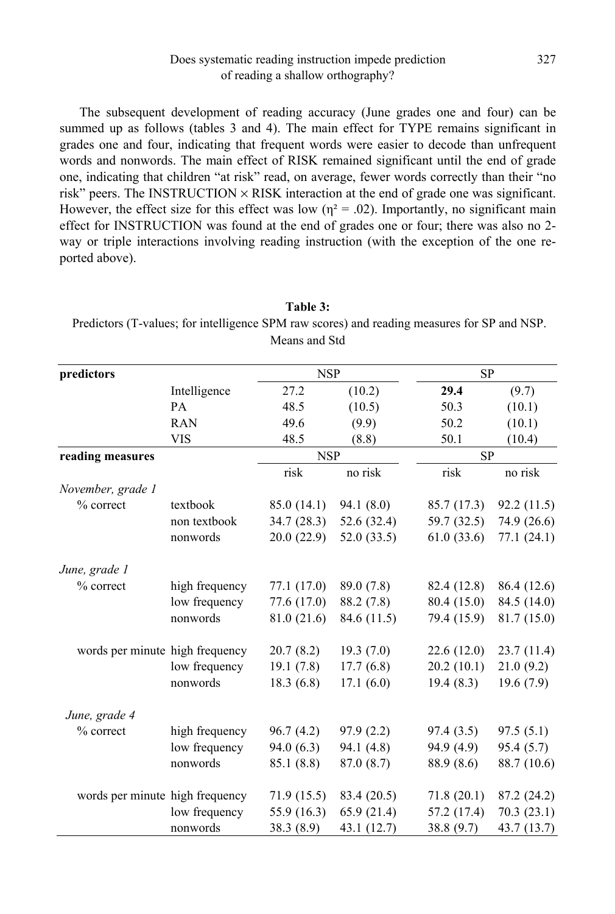The subsequent development of reading accuracy (June grades one and four) can be summed up as follows (tables 3 and 4). The main effect for TYPE remains significant in grades one and four, indicating that frequent words were easier to decode than unfrequent words and nonwords. The main effect of RISK remained significant until the end of grade one, indicating that children "at risk" read, on average, fewer words correctly than their "no risk" peers. The INSTRUCTION  $\times$  RISK interaction at the end of grade one was significant. However, the effect size for this effect was low ( $\eta^2 = .02$ ). Importantly, no significant main effect for INSTRUCTION was found at the end of grades one or four; there was also no 2 way or triple interactions involving reading instruction (with the exception of the one reported above).

|                                 |                | Means and Std |               |             |             |
|---------------------------------|----------------|---------------|---------------|-------------|-------------|
| predictors                      |                | <b>NSP</b>    |               | SP          |             |
|                                 | Intelligence   | 27.2          | (10.2)        | 29.4        | (9.7)       |
|                                 | PA             | 48.5          | (10.5)        | 50.3        | (10.1)      |
|                                 | <b>RAN</b>     | 49.6          | (9.9)         | 50.2        | (10.1)      |
|                                 | <b>VIS</b>     | 48.5          | (8.8)         | 50.1        | (10.4)      |
| reading measures                |                | <b>NSP</b>    |               | <b>SP</b>   |             |
|                                 |                | risk          | no risk       | risk        | no risk     |
| November, grade 1               |                |               |               |             |             |
| % correct                       | textbook       | 85.0 (14.1)   | 94.1 (8.0)    | 85.7 (17.3) | 92.2(11.5)  |
|                                 | non textbook   | 34.7(28.3)    | 52.6(32.4)    | 59.7 (32.5) | 74.9 (26.6) |
|                                 | nonwords       | 20.0(22.9)    | 52.0 $(33.5)$ | 61.0(33.6)  | 77.1(24.1)  |
| June, grade 1                   |                |               |               |             |             |
| % correct                       | high frequency | 77.1 (17.0)   | 89.0 (7.8)    | 82.4 (12.8) | 86.4 (12.6) |
|                                 | low frequency  | 77.6 (17.0)   | 88.2 (7.8)    | 80.4 (15.0) | 84.5 (14.0) |
|                                 | nonwords       | 81.0 (21.6)   | 84.6 (11.5)   | 79.4 (15.9) | 81.7 (15.0) |
| words per minute high frequency |                | 20.7(8.2)     | 19.3(7.0)     | 22.6(12.0)  | 23.7(11.4)  |
|                                 | low frequency  | 19.1(7.8)     | 17.7(6.8)     | 20.2(10.1)  | 21.0(9.2)   |
|                                 | nonwords       | 18.3(6.8)     | 17.1(6.0)     | 19.4(8.3)   | 19.6(7.9)   |
| June, grade 4                   |                |               |               |             |             |
| % correct                       | high frequency | 96.7(4.2)     | 97.9(2.2)     | 97.4 (3.5)  | 97.5(5.1)   |
|                                 | low frequency  | 94.0(6.3)     | 94.1 (4.8)    | 94.9 (4.9)  | 95.4 (5.7)  |
|                                 | nonwords       | 85.1 (8.8)    | 87.0 (8.7)    | 88.9 (8.6)  | 88.7 (10.6) |
| words per minute high frequency |                | 71.9(15.5)    | 83.4 (20.5)   | 71.8(20.1)  | 87.2 (24.2) |
|                                 | low frequency  | 55.9 (16.3)   | 65.9 (21.4)   | 57.2 (17.4) | 70.3(23.1)  |
|                                 | nonwords       | 38.3 (8.9)    | 43.1 (12.7)   | 38.8 (9.7)  | 43.7 (13.7) |

**Table 3:** 

Predictors (T-values; for intelligence SPM raw scores) and reading measures for SP and NSP.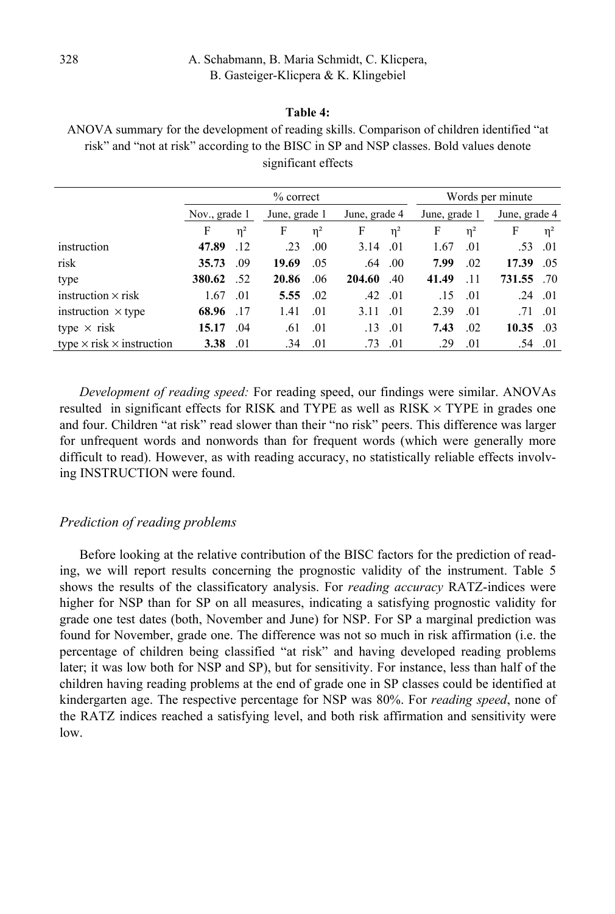#### **Table 4:**

ANOVA summary for the development of reading skills. Comparison of children identified "at risk" and "not at risk" according to the BISC in SP and NSP classes. Bold values denote significant effects

|                                         |               |          | $%$ correct   |          |               |          | Words per minute |          |                 |          |
|-----------------------------------------|---------------|----------|---------------|----------|---------------|----------|------------------|----------|-----------------|----------|
|                                         | Nov., grade 1 |          | June, grade 1 |          | June, grade 4 |          | June, grade 1    |          | June, grade 4   |          |
|                                         | F             | $\eta^2$ | F             | $\eta^2$ | F             | $\eta^2$ | F                | $\eta^2$ | F               | $\eta^2$ |
| instruction                             | 47.89         | .12      | .23           | .00      | 3.14          | .01      | 1.67             | .01      | .53 .01         |          |
| risk                                    | 35.73         | .09      | 19.69         | .05      | .64           | $.00\,$  | 7.99             | .02      | 17.39           | $-0.5$   |
| type                                    | 380.62 .52    |          | 20.86         | .06      | 204.60        | $-40$    | 41.49            | .11      | 731.55 .70      |          |
| instruction $\times$ risk               | 1.67          | .01      | 5.55          | .02      | .42           | .01      | .15              | .01      | $.24 \quad .01$ |          |
| instruction $\times$ type               | 68.96         | .17      | 1.41          | .01      | 3.11          | .01      | 2.39             | .01      | $.71 \quad .01$ |          |
| type $\times$ risk                      | 15.17         | .04      | .61           | .01      | .13           | .01      | 7.43             | .02      | $10.35 \t .03$  |          |
| type $\times$ risk $\times$ instruction | 3.38          | .01      | .34           | .01      | .73           | .01      | .29              | .01      |                 | .54 .01  |

*Development of reading speed:* For reading speed, our findings were similar. ANOVAs resulted in significant effects for RISK and TYPE as well as  $RISK \times TYPE$  in grades one and four. Children "at risk" read slower than their "no risk" peers. This difference was larger for unfrequent words and nonwords than for frequent words (which were generally more difficult to read). However, as with reading accuracy, no statistically reliable effects involving INSTRUCTION were found.

## *Prediction of reading problems*

Before looking at the relative contribution of the BISC factors for the prediction of reading, we will report results concerning the prognostic validity of the instrument. Table 5 shows the results of the classificatory analysis. For *reading accuracy* RATZ-indices were higher for NSP than for SP on all measures, indicating a satisfying prognostic validity for grade one test dates (both, November and June) for NSP. For SP a marginal prediction was found for November, grade one. The difference was not so much in risk affirmation (i.e. the percentage of children being classified "at risk" and having developed reading problems later; it was low both for NSP and SP), but for sensitivity. For instance, less than half of the children having reading problems at the end of grade one in SP classes could be identified at kindergarten age. The respective percentage for NSP was 80%. For *reading speed*, none of the RATZ indices reached a satisfying level, and both risk affirmation and sensitivity were low.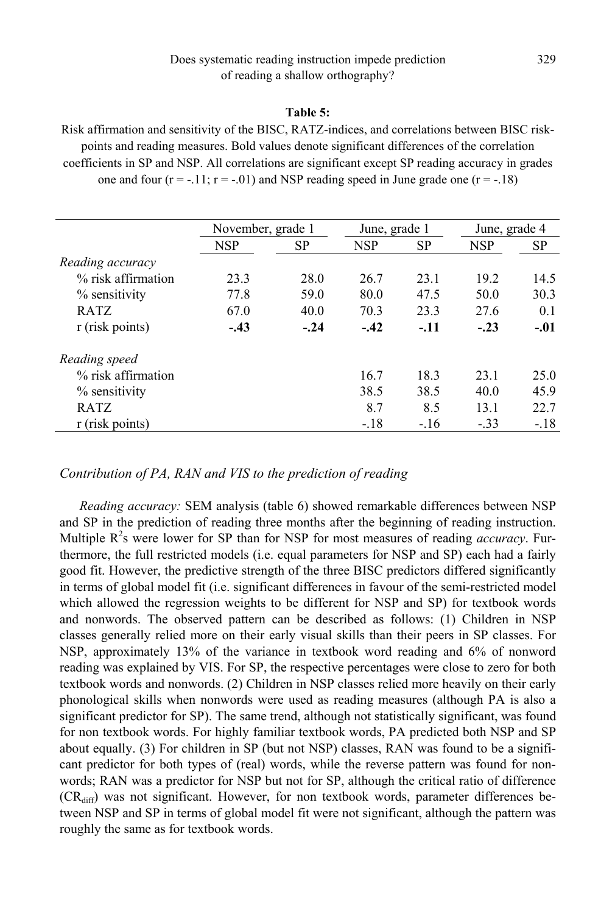#### **Table 5:**

Risk affirmation and sensitivity of the BISC, RATZ-indices, and correlations between BISC riskpoints and reading measures. Bold values denote significant differences of the correlation coefficients in SP and NSP. All correlations are significant except SP reading accuracy in grades one and four  $(r = -.11; r = -.01)$  and NSP reading speed in June grade one  $(r = -.18)$ 

|                    | November, grade 1 |           |            | June, grade 1 |        | June, grade 4 |  |
|--------------------|-------------------|-----------|------------|---------------|--------|---------------|--|
|                    | NSP               | <b>SP</b> | <b>NSP</b> | SP            | NSP    | SP            |  |
| Reading accuracy   |                   |           |            |               |        |               |  |
| % risk affirmation | 23.3              | 28.0      | 26.7       | 23.1          | 19.2   | 14.5          |  |
| % sensitivity      | 77.8              | 59.0      | 80.0       | 47.5          | 50.0   | 30.3          |  |
| <b>RATZ</b>        | 67.0              | 40.0      | 70.3       | 23.3          | 27.6   | 0.1           |  |
| r (risk points)    | $-.43$            | $-.24$    | $-.42$     | $-.11$        | $-.23$ | $-.01$        |  |
| Reading speed      |                   |           |            |               |        |               |  |
| % risk affirmation |                   |           | 16.7       | 18.3          | 23.1   | 25.0          |  |
| % sensitivity      |                   |           | 38.5       | 38.5          | 40.0   | 45.9          |  |
| <b>RATZ</b>        |                   |           | 8.7        | 8.5           | 13.1   | 22.7          |  |
| r (risk points)    |                   |           | $-.18$     | $-.16$        | $-.33$ | $-.18$        |  |

### *Contribution of PA, RAN and VIS to the prediction of reading*

*Reading accuracy:* SEM analysis (table 6) showed remarkable differences between NSP and SP in the prediction of reading three months after the beginning of reading instruction. Multiple R<sup>2</sup>s were lower for SP than for NSP for most measures of reading *accuracy*. Furthermore, the full restricted models (i.e. equal parameters for NSP and SP) each had a fairly good fit. However, the predictive strength of the three BISC predictors differed significantly in terms of global model fit (i.e. significant differences in favour of the semi-restricted model which allowed the regression weights to be different for NSP and SP) for textbook words and nonwords. The observed pattern can be described as follows: (1) Children in NSP classes generally relied more on their early visual skills than their peers in SP classes. For NSP, approximately 13% of the variance in textbook word reading and 6% of nonword reading was explained by VIS. For SP, the respective percentages were close to zero for both textbook words and nonwords. (2) Children in NSP classes relied more heavily on their early phonological skills when nonwords were used as reading measures (although PA is also a significant predictor for SP). The same trend, although not statistically significant, was found for non textbook words. For highly familiar textbook words, PA predicted both NSP and SP about equally. (3) For children in SP (but not NSP) classes, RAN was found to be a significant predictor for both types of (real) words, while the reverse pattern was found for nonwords; RAN was a predictor for NSP but not for SP, although the critical ratio of difference  $(CR<sub>diff</sub>)$  was not significant. However, for non textbook words, parameter differences between NSP and SP in terms of global model fit were not significant, although the pattern was roughly the same as for textbook words.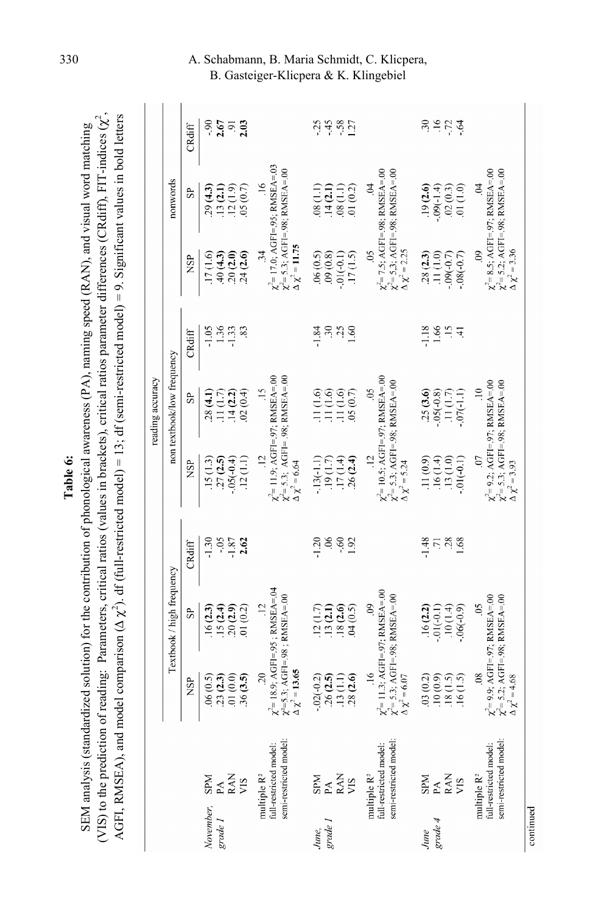| able 6 | ess (PA), naming speed (RAN), and visual word<br>e contribution of phonological as<br>$\cdot$ introp $\uparrow$ for $\uparrow$<br>SEM analysis (sta | CRdiff) FIT-indi<br>varameter differences (<br>rs, critical ratios (values in brackets), critical ratios<br>$\frac{1}{t}$<br>o uo<br>(VIS) to the predicti | comparison $(\Delta \chi^2)$ . dr (full-restricted model) = 13; dr (semi-restricted model) = 9. Significant values in bolo<br>にくぶん<br>GFI, RMSEA), an |
|--------|-----------------------------------------------------------------------------------------------------------------------------------------------------|------------------------------------------------------------------------------------------------------------------------------------------------------------|-------------------------------------------------------------------------------------------------------------------------------------------------------|
|--------|-----------------------------------------------------------------------------------------------------------------------------------------------------|------------------------------------------------------------------------------------------------------------------------------------------------------------|-------------------------------------------------------------------------------------------------------------------------------------------------------|

|                                                                                                               |                                                                                                                         |                                                  |                                           |                                                                                                                          | reading accuracy                                   |                                            |                                                      |                                                                                                |                            |
|---------------------------------------------------------------------------------------------------------------|-------------------------------------------------------------------------------------------------------------------------|--------------------------------------------------|-------------------------------------------|--------------------------------------------------------------------------------------------------------------------------|----------------------------------------------------|--------------------------------------------|------------------------------------------------------|------------------------------------------------------------------------------------------------|----------------------------|
|                                                                                                               |                                                                                                                         | Textbook / high frequency                        |                                           |                                                                                                                          | non textbook/low frequency                         |                                            |                                                      | nonwords                                                                                       |                            |
|                                                                                                               | <b>NSP</b>                                                                                                              | 5P                                               | CRdiff                                    | <b>NSP</b>                                                                                                               | 95                                                 | CRdiff                                     | <b>NSP</b>                                           | SP.                                                                                            | CRdiff                     |
| $\begin{array}{lcl} \text{SPM} \\ \text{PAM} \\ \text{RAN} \\ \text{VIS} \end{array}$<br>November,<br>grade 1 | $.23(2.3)$<br>$.01(0.0)$<br>.36(3.5)<br>06(0.5)                                                                         | .20(2.9)<br>(0.2)<br>(2.3)<br>.15(2.4)           | $-0.5$<br>$-1.30$<br>2.62                 | $-.05(-0.4)$<br>.12(1.1)<br>.15(13)<br>.27(2.5)                                                                          | (6.0, 2)<br>.14(2.2)<br>28(4.1)<br>(1.11(1.7))     | $\frac{1.36}{1.33}$<br>$-1.05$<br>83       | 24(2.6)<br>(2.0)<br>.17(1.6)<br>40(4.3)              | (0.7)<br>$.13(2.1)$<br>$.12(1.9)$<br>.29(4.3)                                                  | $-90$<br>2.67<br>2.03      |
| semi-restricted model<br>full-restricted model:<br>multiple R <sup>2</sup>                                    | $\chi^2$ = 18.9; AGFI= 95; RMSEA= 04<br>$\chi^2 = 5.3$ ; AGFI=.98 ; RMSEA=.00 $\Delta \chi^2 = 13.65$<br>20             | $\frac{12}{1}$                                   |                                           | $\chi^2$ = 11.9; AGFI=.97; RMSEA=.00<br>$\chi^2$ = 5.3; AGFI=.98; RMSEA=.00<br>$\ddot{5}$<br>$\Delta \chi^2$ = 6.64      | $\frac{15}{1}$                                     |                                            | $\Delta \chi^2 = 11.75$<br>34                        | $\chi^2$ = 17.0; AGFI=.95; RMSEA=.03<br>$\chi^2$ = 5.3; AGFI=.98; RMSEA=.00<br>$\frac{16}{1}$  |                            |
| $\begin{array}{l}\text{SPM} \\ \text{PAM} \\ \text{RAN} \end{array}$<br>grade I<br>June,                      | 28(2.6)<br>$.02(-0.2)$<br>.26(2.5)<br>.13(1.1)                                                                          | .18(2.6)<br>.13(2.1)<br>(6.0, 5)<br>(1.7)        | $\mathcal{S}$<br>$-60$<br>$-1.20$<br>1.92 | 26(2.4)<br>$-13(-1.1)$<br>.17(1.4)<br>.19(1.7)                                                                           | $(1.110.6)$<br>$(1.110.6)$<br>11(1.6)<br>.05(0.7)  | $-1.84$<br>30 <sub>25</sub><br>1.60        | .06(0.5)<br>(8.0)<br>.17(1.5)<br>$-01(-0.1)$         | 01(0.2)<br>(1.1)<br>(1.1)<br>.14(2.1)                                                          | $458$<br>$127$<br>$-25$    |
| semi-restricted model<br>full-restricted model:<br>multiple $R^2$                                             | $\chi^2$ = 11.3; AGFI=.97; RMSEA=.00<br>$\chi^2$ = 5.3; AGFI=.98; RMSEA=.00<br>$\frac{16}{1}$<br>$\Delta \chi^2$ = 6.07 | $\ddot{\circ}$                                   |                                           | $\chi^2$ = 10.5; AGFI=.97; RMSEA=.00<br>$\chi^2$ = 5.3; AGFI=.98; RMSEA=.00<br>$\ddot{5}$<br>$\Delta \chi^2 = 5.24$      | $\ddot{\circ}$                                     |                                            | $\ddot{\Delta} \chi^2 = 2.25$<br>$\sim$              | $\chi^2$ = 7.5; AGFI=.98; RMSEA=.00<br>$\chi^2 = 5.3$ ; AGFI=.98; RMSEA=.00<br>Ş               |                            |
| $\begin{array}{c}\n\text{SM} \\ \text{SM} \\ \text{SM} \\ \text{MS}\n\end{array}$<br>grade 4<br>June          | 03(0.2)<br>(0.9)<br>.18(1.5)<br>.16(1.5)                                                                                | 16(2.2)<br>(10(1.4)<br>$.01(-0.1)$<br>$(6(-)90.$ | $\frac{71}{28}$<br>$-1.48$<br>1.68        | 11(0.9)<br>.13(1.0)<br>.16(1.4)<br>$-0.1(-0.1)$                                                                          | .25(3.6)<br>$.05(-0.8)$<br>(11(1.7)<br>$.07(-1.1)$ | 1.66<br>$\overline{5}$<br>$-1.18$<br>$\pm$ | .28(2.3)<br>.11(1.0)<br>$-0.09(-0.7)$<br>$(7.0-0.8)$ | .19(2.6)<br>(0.01)<br>$-0.09(-1.4)$<br>.02(0.3)                                                | $-5.74$<br>$\overline{30}$ |
| semi-restricted model<br>full-restricted model:<br>multiple R <sup>2</sup>                                    | $\chi^2 = 9.9$ ; AGFI=.97; RMSEA=.00<br>$\chi^2 = 5.2$ ; AGFI=.98; RMSEA=.00<br>08<br>$\Delta \chi^2 = 4.68$            | $\sim$                                           |                                           | $\chi^2 = 9.2$ ; AGFI=.97; RMSEA=.00<br>$\chi^2 = 5.3$ ; AGFI=.98; RMSEA=.00<br>$\Delta \chi^2 = 3.93$<br>$\overline{C}$ | $\Xi$                                              |                                            | $\Delta \chi^2 = 3.36$<br>$\overline{0}$             | $\chi^2 = 8.5$ ; AGFI=.97; RMSEA=.00<br>$\chi^2 = 5.2$ ; AGFI=.98; RMSEA=.00<br>$\overline{a}$ |                            |
| continued                                                                                                     |                                                                                                                         |                                                  |                                           |                                                                                                                          |                                                    |                                            |                                                      |                                                                                                |                            |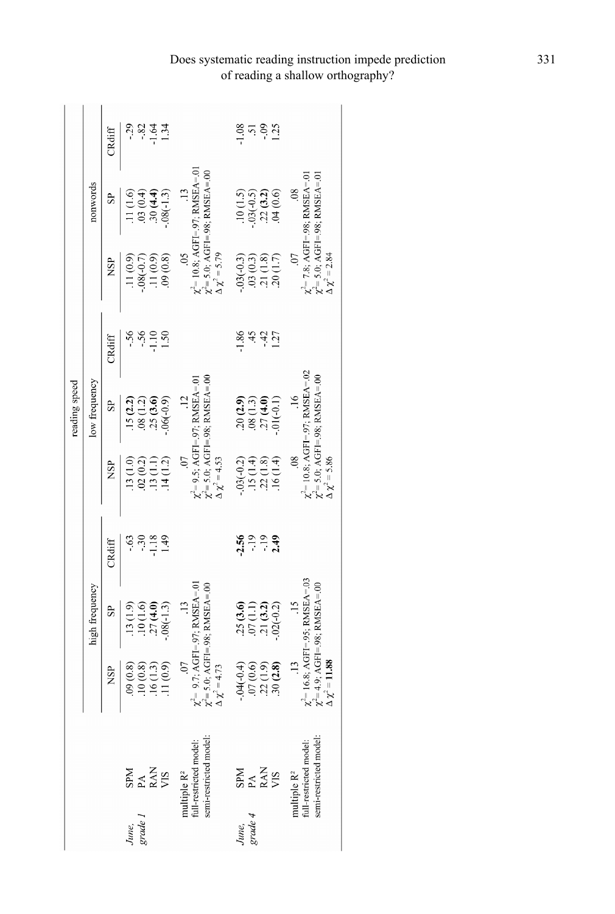|               |                | CRdiff       | $-1.64$<br>-82<br>-<br>$\frac{5}{4}$                         |                                                                                              | $\frac{0}{1}$ .25<br>1.08<br>$\overline{5}$                                             |                                                                                                                         |
|---------------|----------------|--------------|--------------------------------------------------------------|----------------------------------------------------------------------------------------------|-----------------------------------------------------------------------------------------|-------------------------------------------------------------------------------------------------------------------------|
|               | nonwords       | $\mathbf{e}$ | .30(4.4)<br>$.08(-1.3)$<br>0.03(0.4)<br>.11(1.6)             | $\chi^2$ = 10.8; AGFI=.97; RMSEA=.01<br>$\chi^2$ = 5.0; AGFI=.98; RMSEA=.00                  | $.10(1.5)$<br>$.03(-0.5)$<br>$.22(3.2)$<br>$.04(0.6)$                                   | $\chi'$ = 7.8; AGFI = 98; RMSEA = 01<br>$\chi^{\!\scriptscriptstyle L\!}$ = 5.0; AGFI=.98; RMSEA=.01<br>$\overline{08}$ |
|               |                | <b>NSP</b>   | .09(0.8)<br>.11(0.9)<br>.11(0.9<br>$-0.06(-0.7)$             | $\Delta \chi^2 = 5.79$<br>$\widetilde{50}$                                                   | $.03(-0.3)$<br>$\begin{array}{c} .03~(0.3) \\ .21~(1.7) \\ .20~(1.7) \end{array}$       | $\Delta \chi^2 = 2.84$<br>$0$ .                                                                                         |
|               |                | CRdiff       | $\frac{1}{1}$<br>1.50<br>$\ddot{\cdot}$                      |                                                                                              | $-1.86$<br>$-42$<br>45<br>127                                                           |                                                                                                                         |
| reading speed | low frequency  | $\mathbf{s}$ | .25(3.6)<br>$-.06(-0.9)$<br>.08(1.2)<br>.15(2.2)             | $\chi^2$ = 5.0; AGFI=.98; RMSEA=.00<br>$\chi^2 = 9.5$ ; AGFI=.97; RMSEA=.01                  | $\begin{array}{c} 20 (2.9) \\ 08 (1.3) \\ 27 (4.0) \end{array}$<br>$-01(-0.1)$          | $\chi^2$ = 10.8; AGFI=.97; RMSEA=.02<br>$\chi$ = 5.0; AGFI=.98; RMSEA=.00<br>16                                         |
|               |                | <b>NSP</b>   | 14(1.2)<br>.02(0.2)<br>.13(1.1)<br>13(1.0                    | $\overline{C}$<br>$\Delta \chi^2 = 4.53$                                                     | $.03(-0.2)$<br>$\begin{array}{c} .15 \ (1.4) \\ .22 \ (1.8) \\ .16 \ (1.4) \end{array}$ | $\overline{08}$<br>$\Delta \chi^2 = 5.86$                                                                               |
|               |                | CRdiff       | $-1.18$<br>49<br>$-63$<br>$\tilde{\cdot}$                    |                                                                                              | <u> နီ ၁ ၁ ခု</u><br>၁ - ၁ ခု                                                           |                                                                                                                         |
|               | high frequency | SP.          | $\frac{10(1.6)}{27(4.0)}$<br>$-.08(-1.3)$<br>$(6.1)$ \$1.    | $\chi^2$ = 9.7: AGFI=.97: RMSEA=.01<br>$\chi^2$ = 5.0; AGFI=.98; RMSEA=.00<br>$\frac{13}{2}$ | $\begin{array}{c} .25 \ (3.6) \\ .07 \ (1.1) \\ .21 \ (3.2) \end{array}$<br>$.02(-0.2)$ | $\chi^2$ = 16.8; AGFI= 95; RMSEA= 03<br>$\chi' = 4.9$ ; AGFI=.98; RMSEA=.00                                             |
|               |                | NSP          | .11(0.9)<br>.16(1.3)<br>10(0.8)<br>.09(0.8)                  | $\overline{0}$ .<br>$\Delta \chi^2 = 4.73$                                                   | $-.04(-0.4)$<br>$07(0.6)$<br>$22(1.9)$<br>$30(2.8)$                                     | $\Delta \chi^2 = 11.88$<br>$\frac{13}{2}$                                                                               |
|               |                |              | $\begin{array}{l} \tt SRM \\ \tt PAN \\ \tt RAN \end{array}$ | multiple $R^2$<br>full-restricted model:<br>semi-restricted model                            | $\begin{array}{lcl} \texttt{SPM} \\ \texttt{PAM} \\ \texttt{RAN} \end{array}$           | full-restricted model:<br>semi-restricted model                                                                         |
|               |                |              | June,<br>grade 1                                             |                                                                                              | June,<br>grade 4                                                                        | multiple $\mathbb{R}^2$                                                                                                 |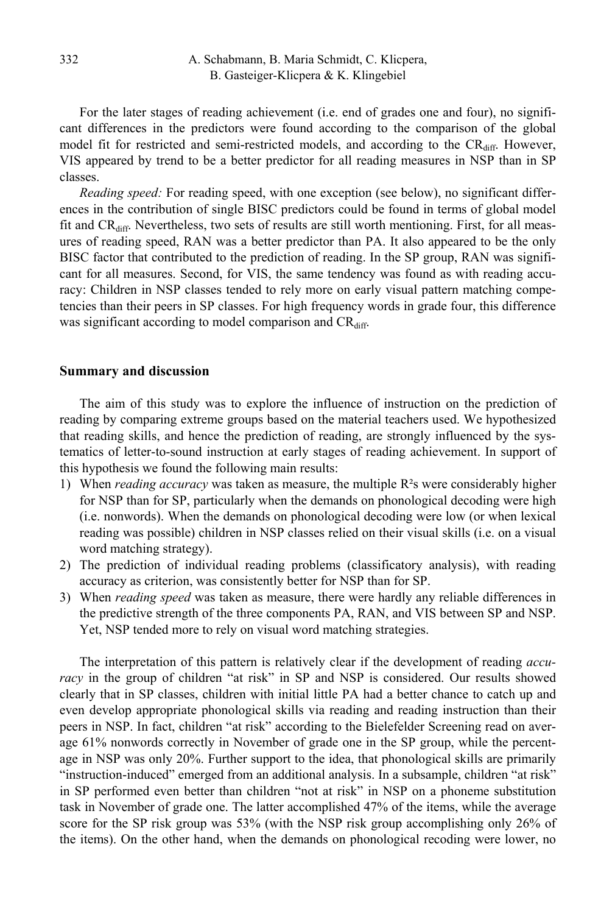For the later stages of reading achievement (i.e. end of grades one and four), no significant differences in the predictors were found according to the comparison of the global model fit for restricted and semi-restricted models, and according to the  $CR<sub>diff</sub>$ . However, VIS appeared by trend to be a better predictor for all reading measures in NSP than in SP classes.

*Reading speed:* For reading speed, with one exception (see below), no significant differences in the contribution of single BISC predictors could be found in terms of global model fit and  $CR_{\text{diff}}$ . Nevertheless, two sets of results are still worth mentioning. First, for all measures of reading speed, RAN was a better predictor than PA. It also appeared to be the only BISC factor that contributed to the prediction of reading. In the SP group, RAN was significant for all measures. Second, for VIS, the same tendency was found as with reading accuracy: Children in NSP classes tended to rely more on early visual pattern matching competencies than their peers in SP classes. For high frequency words in grade four, this difference was significant according to model comparison and CR<sub>diff</sub>.

#### **Summary and discussion**

The aim of this study was to explore the influence of instruction on the prediction of reading by comparing extreme groups based on the material teachers used. We hypothesized that reading skills, and hence the prediction of reading, are strongly influenced by the systematics of letter-to-sound instruction at early stages of reading achievement. In support of this hypothesis we found the following main results:

- 1) When *reading accuracy* was taken as measure, the multiple R²s were considerably higher for NSP than for SP, particularly when the demands on phonological decoding were high (i.e. nonwords). When the demands on phonological decoding were low (or when lexical reading was possible) children in NSP classes relied on their visual skills (i.e. on a visual word matching strategy).
- 2) The prediction of individual reading problems (classificatory analysis), with reading accuracy as criterion, was consistently better for NSP than for SP.
- 3) When *reading speed* was taken as measure, there were hardly any reliable differences in the predictive strength of the three components PA, RAN, and VIS between SP and NSP. Yet, NSP tended more to rely on visual word matching strategies.

The interpretation of this pattern is relatively clear if the development of reading *accuracy* in the group of children "at risk" in SP and NSP is considered. Our results showed clearly that in SP classes, children with initial little PA had a better chance to catch up and even develop appropriate phonological skills via reading and reading instruction than their peers in NSP. In fact, children "at risk" according to the Bielefelder Screening read on average 61% nonwords correctly in November of grade one in the SP group, while the percentage in NSP was only 20%. Further support to the idea, that phonological skills are primarily "instruction-induced" emerged from an additional analysis. In a subsample, children "at risk" in SP performed even better than children "not at risk" in NSP on a phoneme substitution task in November of grade one. The latter accomplished 47% of the items, while the average score for the SP risk group was 53% (with the NSP risk group accomplishing only 26% of the items). On the other hand, when the demands on phonological recoding were lower, no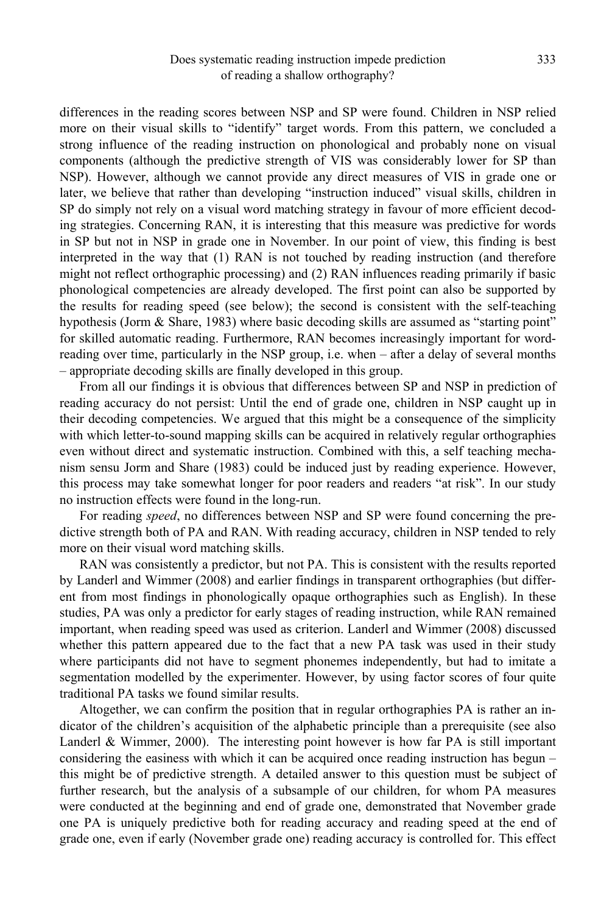differences in the reading scores between NSP and SP were found. Children in NSP relied more on their visual skills to "identify" target words. From this pattern, we concluded a strong influence of the reading instruction on phonological and probably none on visual components (although the predictive strength of VIS was considerably lower for SP than NSP). However, although we cannot provide any direct measures of VIS in grade one or later, we believe that rather than developing "instruction induced" visual skills, children in SP do simply not rely on a visual word matching strategy in favour of more efficient decoding strategies. Concerning RAN, it is interesting that this measure was predictive for words in SP but not in NSP in grade one in November. In our point of view, this finding is best interpreted in the way that (1) RAN is not touched by reading instruction (and therefore might not reflect orthographic processing) and (2) RAN influences reading primarily if basic phonological competencies are already developed. The first point can also be supported by the results for reading speed (see below); the second is consistent with the self-teaching hypothesis (Jorm & Share, 1983) where basic decoding skills are assumed as "starting point" for skilled automatic reading. Furthermore, RAN becomes increasingly important for wordreading over time, particularly in the NSP group, i.e. when – after a delay of several months – appropriate decoding skills are finally developed in this group.

From all our findings it is obvious that differences between SP and NSP in prediction of reading accuracy do not persist: Until the end of grade one, children in NSP caught up in their decoding competencies. We argued that this might be a consequence of the simplicity with which letter-to-sound mapping skills can be acquired in relatively regular orthographies even without direct and systematic instruction. Combined with this, a self teaching mechanism sensu Jorm and Share (1983) could be induced just by reading experience. However, this process may take somewhat longer for poor readers and readers "at risk". In our study no instruction effects were found in the long-run.

For reading *speed*, no differences between NSP and SP were found concerning the predictive strength both of PA and RAN. With reading accuracy, children in NSP tended to rely more on their visual word matching skills.

RAN was consistently a predictor, but not PA. This is consistent with the results reported by Landerl and Wimmer (2008) and earlier findings in transparent orthographies (but different from most findings in phonologically opaque orthographies such as English). In these studies, PA was only a predictor for early stages of reading instruction, while RAN remained important, when reading speed was used as criterion. Landerl and Wimmer (2008) discussed whether this pattern appeared due to the fact that a new PA task was used in their study where participants did not have to segment phonemes independently, but had to imitate a segmentation modelled by the experimenter. However, by using factor scores of four quite traditional PA tasks we found similar results.

Altogether, we can confirm the position that in regular orthographies PA is rather an indicator of the children's acquisition of the alphabetic principle than a prerequisite (see also Landerl & Wimmer, 2000). The interesting point however is how far PA is still important considering the easiness with which it can be acquired once reading instruction has begun – this might be of predictive strength. A detailed answer to this question must be subject of further research, but the analysis of a subsample of our children, for whom PA measures were conducted at the beginning and end of grade one, demonstrated that November grade one PA is uniquely predictive both for reading accuracy and reading speed at the end of grade one, even if early (November grade one) reading accuracy is controlled for. This effect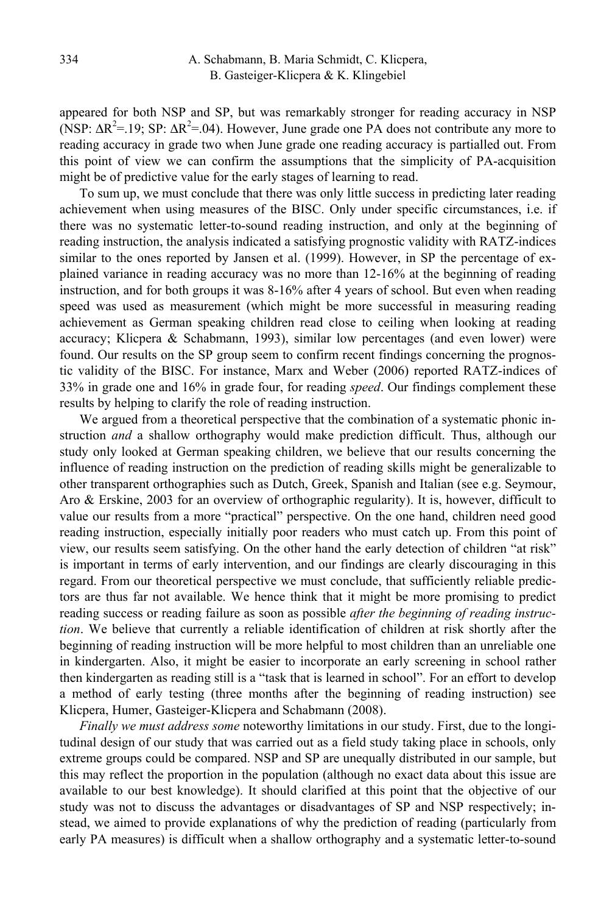appeared for both NSP and SP, but was remarkably stronger for reading accuracy in NSP (NSP:  $\Delta R^2 = 19$ ; SP:  $\Delta R^2 = 04$ ). However, June grade one PA does not contribute any more to reading accuracy in grade two when June grade one reading accuracy is partialled out. From this point of view we can confirm the assumptions that the simplicity of PA-acquisition might be of predictive value for the early stages of learning to read.

To sum up, we must conclude that there was only little success in predicting later reading achievement when using measures of the BISC. Only under specific circumstances, i.e. if there was no systematic letter-to-sound reading instruction, and only at the beginning of reading instruction, the analysis indicated a satisfying prognostic validity with RATZ-indices similar to the ones reported by Jansen et al. (1999). However, in SP the percentage of explained variance in reading accuracy was no more than 12-16% at the beginning of reading instruction, and for both groups it was 8-16% after 4 years of school. But even when reading speed was used as measurement (which might be more successful in measuring reading achievement as German speaking children read close to ceiling when looking at reading accuracy; Klicpera & Schabmann, 1993), similar low percentages (and even lower) were found. Our results on the SP group seem to confirm recent findings concerning the prognostic validity of the BISC. For instance, Marx and Weber (2006) reported RATZ-indices of 33% in grade one and 16% in grade four, for reading *speed*. Our findings complement these results by helping to clarify the role of reading instruction.

We argued from a theoretical perspective that the combination of a systematic phonic instruction *and* a shallow orthography would make prediction difficult. Thus, although our study only looked at German speaking children, we believe that our results concerning the influence of reading instruction on the prediction of reading skills might be generalizable to other transparent orthographies such as Dutch, Greek, Spanish and Italian (see e.g. Seymour, Aro & Erskine, 2003 for an overview of orthographic regularity). It is, however, difficult to value our results from a more "practical" perspective. On the one hand, children need good reading instruction, especially initially poor readers who must catch up. From this point of view, our results seem satisfying. On the other hand the early detection of children "at risk" is important in terms of early intervention, and our findings are clearly discouraging in this regard. From our theoretical perspective we must conclude, that sufficiently reliable predictors are thus far not available. We hence think that it might be more promising to predict reading success or reading failure as soon as possible *after the beginning of reading instruction*. We believe that currently a reliable identification of children at risk shortly after the beginning of reading instruction will be more helpful to most children than an unreliable one in kindergarten. Also, it might be easier to incorporate an early screening in school rather then kindergarten as reading still is a "task that is learned in school". For an effort to develop a method of early testing (three months after the beginning of reading instruction) see Klicpera, Humer, Gasteiger-Klicpera and Schabmann (2008).

*Finally we must address some* noteworthy limitations in our study. First, due to the longitudinal design of our study that was carried out as a field study taking place in schools, only extreme groups could be compared. NSP and SP are unequally distributed in our sample, but this may reflect the proportion in the population (although no exact data about this issue are available to our best knowledge). It should clarified at this point that the objective of our study was not to discuss the advantages or disadvantages of SP and NSP respectively; instead, we aimed to provide explanations of why the prediction of reading (particularly from early PA measures) is difficult when a shallow orthography and a systematic letter-to-sound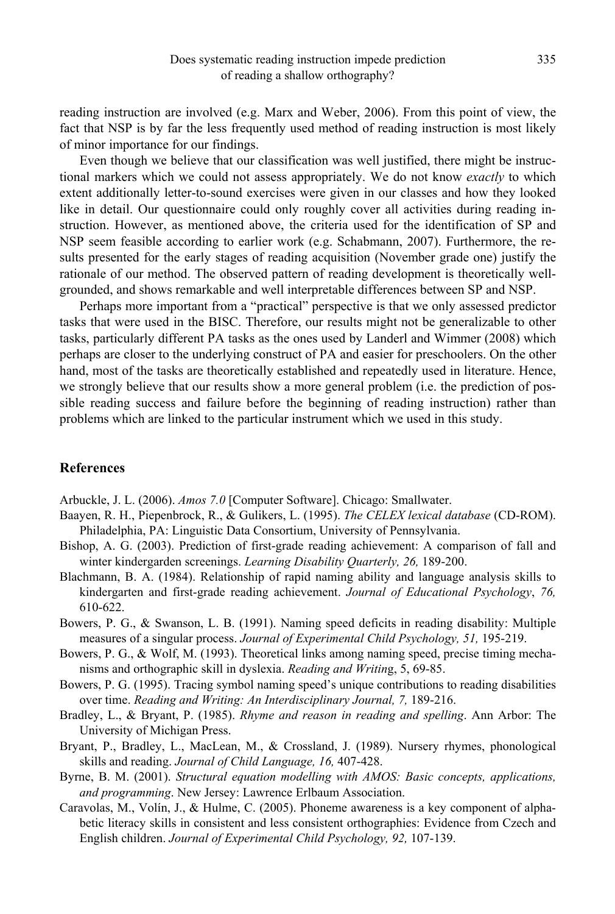reading instruction are involved (e.g. Marx and Weber, 2006). From this point of view, the fact that NSP is by far the less frequently used method of reading instruction is most likely of minor importance for our findings.

Even though we believe that our classification was well justified, there might be instructional markers which we could not assess appropriately. We do not know *exactly* to which extent additionally letter-to-sound exercises were given in our classes and how they looked like in detail. Our questionnaire could only roughly cover all activities during reading instruction. However, as mentioned above, the criteria used for the identification of SP and NSP seem feasible according to earlier work (e.g. Schabmann, 2007). Furthermore, the results presented for the early stages of reading acquisition (November grade one) justify the rationale of our method. The observed pattern of reading development is theoretically wellgrounded, and shows remarkable and well interpretable differences between SP and NSP.

Perhaps more important from a "practical" perspective is that we only assessed predictor tasks that were used in the BISC. Therefore, our results might not be generalizable to other tasks, particularly different PA tasks as the ones used by Landerl and Wimmer (2008) which perhaps are closer to the underlying construct of PA and easier for preschoolers. On the other hand, most of the tasks are theoretically established and repeatedly used in literature. Hence, we strongly believe that our results show a more general problem (i.e. the prediction of possible reading success and failure before the beginning of reading instruction) rather than problems which are linked to the particular instrument which we used in this study.

# **References**

Arbuckle, J. L. (2006). *Amos 7.0* [Computer Software]. Chicago: Smallwater.

- Baayen, R. H., Piepenbrock, R., & Gulikers, L. (1995). *The CELEX lexical database* (CD-ROM). Philadelphia, PA: Linguistic Data Consortium, University of Pennsylvania.
- Bishop, A. G. (2003). Prediction of first-grade reading achievement: A comparison of fall and winter kindergarden screenings. *Learning Disability Quarterly, 26,* 189-200.
- Blachmann, B. A. (1984). Relationship of rapid naming ability and language analysis skills to kindergarten and first-grade reading achievement. *Journal of Educational Psychology*, *76,*  610-622.
- Bowers, P. G., & Swanson, L. B. (1991). Naming speed deficits in reading disability: Multiple measures of a singular process. *Journal of Experimental Child Psychology, 51,* 195-219.
- Bowers, P. G., & Wolf, M. (1993). Theoretical links among naming speed, precise timing mechanisms and orthographic skill in dyslexia. *Reading and Writin*g, 5, 69-85.
- Bowers, P. G. (1995). Tracing symbol naming speed's unique contributions to reading disabilities over time. *Reading and Writing: An Interdisciplinary Journal, 7,* 189-216.
- Bradley, L., & Bryant, P. (1985). *Rhyme and reason in reading and spelling*. Ann Arbor: The University of Michigan Press.
- Bryant, P., Bradley, L., MacLean, M., & Crossland, J. (1989). Nursery rhymes, phonological skills and reading. *Journal of Child Language, 16,* 407-428.
- Byrne, B. M. (2001). *Structural equation modelling with AMOS: Basic concepts, applications, and programming*. New Jersey: Lawrence Erlbaum Association.
- Caravolas, M., Volín, J., & Hulme, C. (2005). Phoneme awareness is a key component of alphabetic literacy skills in consistent and less consistent orthographies: Evidence from Czech and English children. *Journal of Experimental Child Psychology, 92,* 107-139.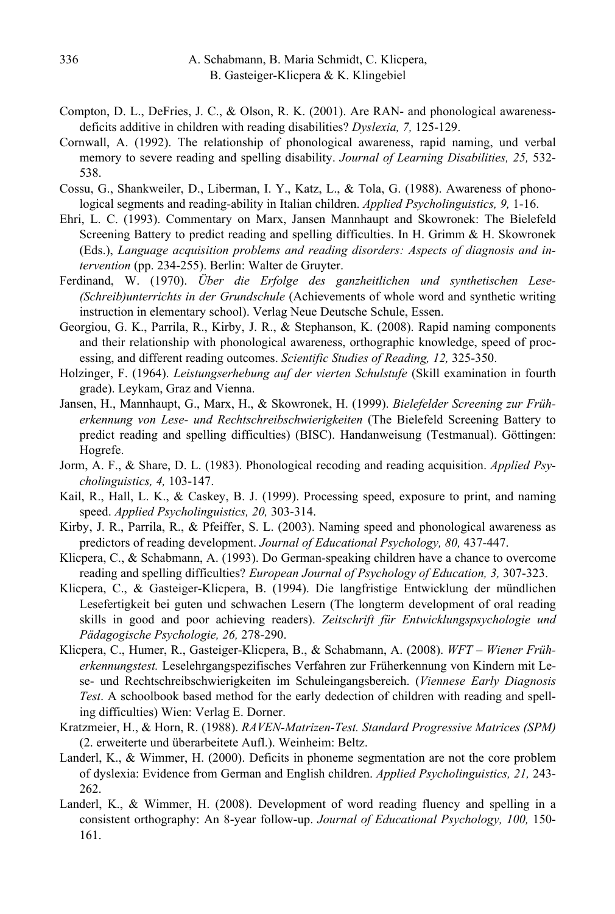- Compton, D. L., DeFries, J. C., & Olson, R. K. (2001). Are RAN- and phonological awarenessdeficits additive in children with reading disabilities? *Dyslexia, 7,* 125-129.
- Cornwall, A. (1992). The relationship of phonological awareness, rapid naming, und verbal memory to severe reading and spelling disability. *Journal of Learning Disabilities, 25,* 532- 538.
- Cossu, G., Shankweiler, D., Liberman, I. Y., Katz, L., & Tola, G. (1988). Awareness of phonological segments and reading-ability in Italian children. *Applied Psycholinguistics, 9,* 1-16.
- Ehri, L. C. (1993). Commentary on Marx, Jansen Mannhaupt and Skowronek: The Bielefeld Screening Battery to predict reading and spelling difficulties. In H. Grimm & H. Skowronek (Eds.), *Language acquisition problems and reading disorders: Aspects of diagnosis and intervention* (pp. 234-255). Berlin: Walter de Gruyter.
- Ferdinand, W. (1970). *Über die Erfolge des ganzheitlichen und synthetischen Lese- (Schreib)unterrichts in der Grundschule* (Achievements of whole word and synthetic writing instruction in elementary school). Verlag Neue Deutsche Schule, Essen.
- Georgiou, G. K., Parrila, R., Kirby, J. R., & Stephanson, K. (2008). Rapid naming components and their relationship with phonological awareness, orthographic knowledge, speed of processing, and different reading outcomes. *Scientific Studies of Reading, 12,* 325-350.
- Holzinger, F. (1964). *Leistungserhebung auf der vierten Schulstufe* (Skill examination in fourth grade). Leykam, Graz and Vienna.
- Jansen, H., Mannhaupt, G., Marx, H., & Skowronek, H. (1999). *Bielefelder Screening zur Früherkennung von Lese- und Rechtschreibschwierigkeiten* (The Bielefeld Screening Battery to predict reading and spelling difficulties) (BISC). Handanweisung (Testmanual). Göttingen: Hogrefe.
- Jorm, A. F., & Share, D. L. (1983). Phonological recoding and reading acquisition. *Applied Psycholinguistics, 4,* 103-147.
- Kail, R., Hall, L. K., & Caskey, B. J. (1999). Processing speed, exposure to print, and naming speed. *Applied Psycholinguistics, 20,* 303-314.
- Kirby, J. R., Parrila, R., & Pfeiffer, S. L. (2003). Naming speed and phonological awareness as predictors of reading development. *Journal of Educational Psychology, 80,* 437-447.
- Klicpera, C., & Schabmann, A. (1993). Do German-speaking children have a chance to overcome reading and spelling difficulties? *European Journal of Psychology of Education, 3,* 307-323.
- Klicpera, C., & Gasteiger-Klicpera, B. (1994). Die langfristige Entwicklung der mündlichen Lesefertigkeit bei guten und schwachen Lesern (The longterm development of oral reading skills in good and poor achieving readers). *Zeitschrift für Entwicklungspsychologie und Pädagogische Psychologie, 26,* 278-290.
- Klicpera, C., Humer, R., Gasteiger-Klicpera, B., & Schabmann, A. (2008). *WFT Wiener Früherkennungstest.* Leselehrgangspezifisches Verfahren zur Früherkennung von Kindern mit Lese- und Rechtschreibschwierigkeiten im Schuleingangsbereich. (*Viennese Early Diagnosis Test*. A schoolbook based method for the early dedection of children with reading and spelling difficulties) Wien: Verlag E. Dorner.
- Kratzmeier, H., & Horn, R. (1988). *RAVEN-Matrizen-Test. Standard Progressive Matrices (SPM)* (2. erweiterte und überarbeitete Aufl.). Weinheim: Beltz.
- Landerl, K., & Wimmer, H. (2000). Deficits in phoneme segmentation are not the core problem of dyslexia: Evidence from German and English children. *Applied Psycholinguistics, 21,* 243- 262.
- Landerl, K., & Wimmer, H. (2008). Development of word reading fluency and spelling in a consistent orthography: An 8-year follow-up. *Journal of Educational Psychology, 100,* 150- 161.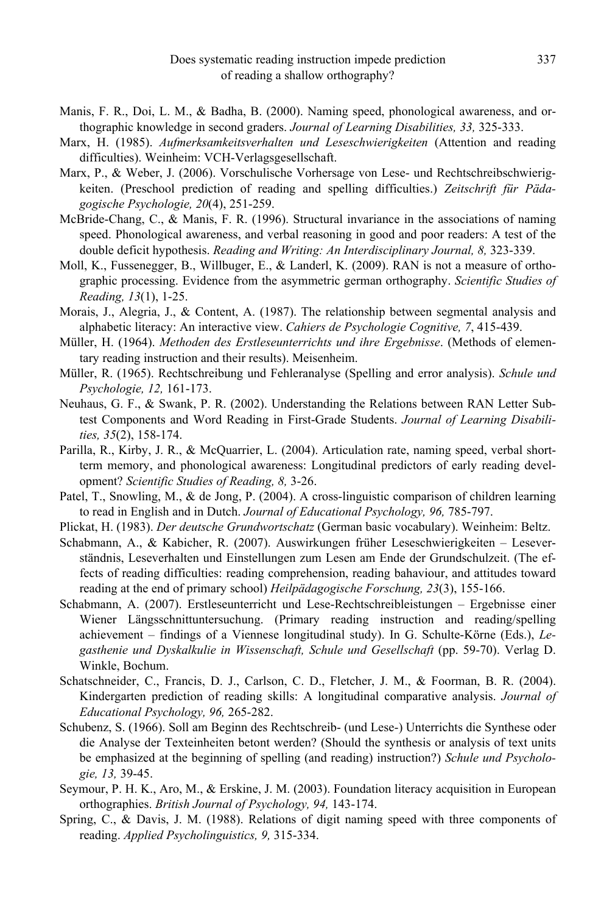- Manis, F. R., Doi, L. M., & Badha, B. (2000). Naming speed, phonological awareness, and orthographic knowledge in second graders. *Journal of Learning Disabilities, 33,* 325-333.
- Marx, H. (1985). *Aufmerksamkeitsverhalten und Leseschwierigkeiten* (Attention and reading difficulties). Weinheim: VCH-Verlagsgesellschaft.
- Marx, P., & Weber, J. (2006). Vorschulische Vorhersage von Lese- und Rechtschreibschwierigkeiten. (Preschool prediction of reading and spelling difficulties.) *Zeitschrift für Pädagogische Psychologie, 20*(4), 251-259.
- McBride-Chang, C., & Manis, F. R. (1996). Structural invariance in the associations of naming speed. Phonological awareness, and verbal reasoning in good and poor readers: A test of the double deficit hypothesis. *Reading and Writing: An Interdisciplinary Journal, 8,* 323-339.
- Moll, K., Fussenegger, B., Willbuger, E., & Landerl, K. (2009). RAN is not a measure of orthographic processing. Evidence from the asymmetric german orthography. *Scientific Studies of Reading, 13*(1), 1-25.
- Morais, J., Alegria, J., & Content, A. (1987). The relationship between segmental analysis and alphabetic literacy: An interactive view. *Cahiers de Psychologie Cognitive, 7*, 415-439.
- Müller, H. (1964). *Methoden des Erstleseunterrichts und ihre Ergebnisse*. (Methods of elementary reading instruction and their results). Meisenheim.
- Müller, R. (1965). Rechtschreibung und Fehleranalyse (Spelling and error analysis). *Schule und Psychologie, 12,* 161-173.
- Neuhaus, G. F., & Swank, P. R. (2002). Understanding the Relations between RAN Letter Subtest Components and Word Reading in First-Grade Students. *Journal of Learning Disabilities, 35*(2), 158-174.
- Parilla, R., Kirby, J. R., & McQuarrier, L. (2004). Articulation rate, naming speed, verbal shortterm memory, and phonological awareness: Longitudinal predictors of early reading development? *Scientific Studies of Reading, 8,* 3-26.
- Patel, T., Snowling, M., & de Jong, P. (2004). A cross-linguistic comparison of children learning to read in English and in Dutch. *Journal of Educational Psychology, 96,* 785-797.
- Plickat, H. (1983). *Der deutsche Grundwortschatz* (German basic vocabulary). Weinheim: Beltz.
- Schabmann, A., & Kabicher, R. (2007). Auswirkungen früher Leseschwierigkeiten Leseverständnis, Leseverhalten und Einstellungen zum Lesen am Ende der Grundschulzeit. (The effects of reading difficulties: reading comprehension, reading bahaviour, and attitudes toward reading at the end of primary school) *Heilpädagogische Forschung, 23*(3), 155-166.
- Schabmann, A. (2007). Erstleseunterricht und Lese-Rechtschreibleistungen Ergebnisse einer Wiener Längsschnittuntersuchung. (Primary reading instruction and reading/spelling achievement – findings of a Viennese longitudinal study). In G. Schulte-Körne (Eds.), *Legasthenie und Dyskalkulie in Wissenschaft, Schule und Gesellschaft* (pp. 59-70). Verlag D. Winkle, Bochum.
- Schatschneider, C., Francis, D. J., Carlson, C. D., Fletcher, J. M., & Foorman, B. R. (2004). Kindergarten prediction of reading skills: A longitudinal comparative analysis. *Journal of Educational Psychology, 96,* 265-282.
- Schubenz, S. (1966). Soll am Beginn des Rechtschreib- (und Lese-) Unterrichts die Synthese oder die Analyse der Texteinheiten betont werden? (Should the synthesis or analysis of text units be emphasized at the beginning of spelling (and reading) instruction?) *Schule und Psychologie, 13,* 39-45.
- Seymour, P. H. K., Aro, M., & Erskine, J. M. (2003). Foundation literacy acquisition in European orthographies. *British Journal of Psychology, 94,* 143-174.
- Spring, C., & Davis, J. M. (1988). Relations of digit naming speed with three components of reading. *Applied Psycholinguistics, 9,* 315-334.